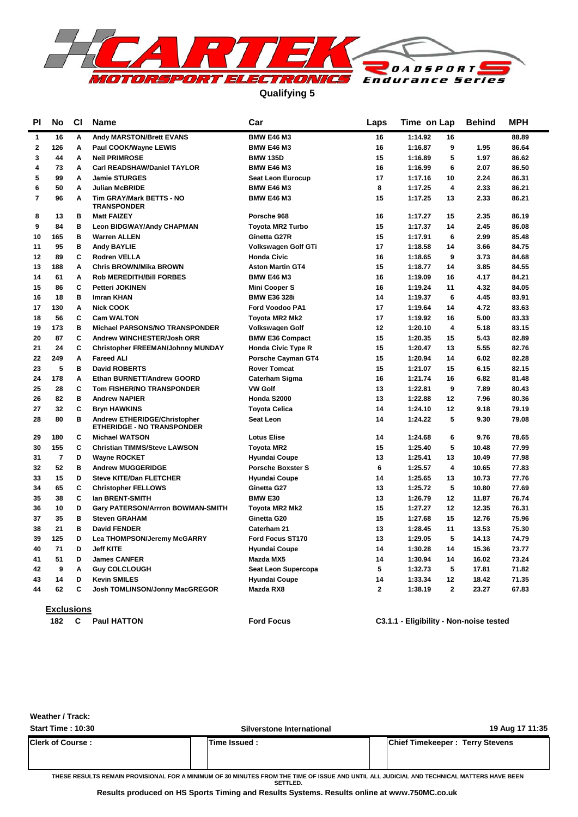

**Qualifying 5**

| <b>PI</b> | No                | <b>CI</b> | <b>Name</b>                                                       | Car                       | Laps           | Time on Lap                        | <b>Behind</b> | MPH   |
|-----------|-------------------|-----------|-------------------------------------------------------------------|---------------------------|----------------|------------------------------------|---------------|-------|
| 1         | 16                | Α         | Andy MARSTON/Brett EVANS                                          | <b>BMW E46 M3</b>         | 16             | 1:14.92<br>16                      |               | 88.89 |
| 2         | 126               | A         | Paul COOK/Wayne LEWIS                                             | <b>BMW E46 M3</b>         | 16             | 1:16.87<br>9                       | 1.95          | 86.64 |
| 3         | 44                | A         | <b>Neil PRIMROSE</b>                                              | <b>BMW 135D</b>           | 15             | 5<br>1:16.89                       | 1.97          | 86.62 |
| 4         | 73                | Α         | <b>Carl READSHAW/Daniel TAYLOR</b>                                | <b>BMW E46 M3</b>         | 16             | 6<br>1:16.99                       | 2.07          | 86.50 |
| 5         | 99                | A         | <b>Jamie STURGES</b>                                              | <b>Seat Leon Eurocup</b>  | 17             | 1:17.16<br>10                      | 2.24          | 86.31 |
| 6         | 50                | A         | <b>Julian McBRIDE</b>                                             | <b>BMW E46 M3</b>         | 8              | 1:17.25<br>$\overline{\mathbf{4}}$ | 2.33          | 86.21 |
| 7         | 96                | Α         | Tim GRAY/Mark BETTS - NO<br><b>TRANSPONDER</b>                    | <b>BMW E46 M3</b>         | 15             | 1:17.25<br>13                      | 2.33          | 86.21 |
| 8         | 13                | в         | <b>Matt FAIZEY</b>                                                | Porsche 968               | 16             | 1:17.27<br>15                      | 2.35          | 86.19 |
| 9         | 84                | в         | Leon BIDGWAY/Andy CHAPMAN                                         | <b>Toyota MR2 Turbo</b>   | 15             | 1:17.37<br>14                      | 2.45          | 86.08 |
| 10        | 165               | в         | <b>Warren ALLEN</b>                                               | Ginetta G27R              | 15             | 1:17.91<br>6                       | 2.99          | 85.48 |
| 11        | 95                | в         | <b>Andy BAYLIE</b>                                                | Volkswagen Golf GTi       | 17             | 14<br>1:18.58                      | 3.66          | 84.75 |
| 12        | 89                | C         | <b>Rodren VELLA</b>                                               | <b>Honda Civic</b>        | 16             | 1:18.65<br>9                       | 3.73          | 84.68 |
| 13        | 188               | A         | <b>Chris BROWN/Mika BROWN</b>                                     | <b>Aston Martin GT4</b>   | 15             | 1:18.77<br>14                      | 3.85          | 84.55 |
| 14        | 61                | Α         | <b>Rob MEREDITH/Bill FORBES</b>                                   | <b>BMW E46 M3</b>         | 16             | 1:19.09<br>16                      | 4.17          | 84.21 |
| 15        | 86                | C         | <b>Petteri JOKINEN</b>                                            | Mini Cooper S             | 16             | 11<br>1:19.24                      | 4.32          | 84.05 |
| 16        | 18                | в         | <b>Imran KHAN</b>                                                 | <b>BMW E36 328i</b>       | 14             | 6<br>1:19.37                       | 4.45          | 83.91 |
| 17        | 130               | A         | <b>Nick COOK</b>                                                  | Ford Voodoo PA1           | 17             | 1:19.64<br>14                      | 4.72          | 83.63 |
| 18        | 56                | c         | <b>Cam WALTON</b>                                                 | Toyota MR2 Mk2            | 17             | 1:19.92<br>16                      | 5.00          | 83.33 |
| 19        | 173               | B         | <b>Michael PARSONS/NO TRANSPONDER</b>                             | Volkswagen Golf           | 12             | 1:20.10<br>4                       | 5.18          | 83.15 |
| 20        | 87                | C         | Andrew WINCHESTER/Josh ORR                                        | <b>BMW E36 Compact</b>    | 15             | 1:20.35<br>15                      | 5.43          | 82.89 |
| 21        | 24                | C         | <b>Christopher FREEMAN/Johnny MUNDAY</b>                          | <b>Honda Civic Type R</b> | 15             | 1:20.47<br>13                      | 5.55          | 82.76 |
| 22        | 249               | Α         | <b>Fareed ALI</b>                                                 | Porsche Cayman GT4        | 15             | 1:20.94<br>14                      | 6.02          | 82.28 |
| 23        | 5                 | в         | <b>David ROBERTS</b>                                              | <b>Rover Tomcat</b>       | 15             | 1:21.07<br>15                      | 6.15          | 82.15 |
| 24        | 178               | Α         | Ethan BURNETT/Andrew GOORD                                        | <b>Caterham Sigma</b>     | 16             | 1:21.74<br>16                      | 6.82          | 81.48 |
| 25        | 28                | C         | Tom FISHER/NO TRANSPONDER                                         | <b>VW Golf</b>            | 13             | 1:22.81<br>9                       | 7.89          | 80.43 |
| 26        | 82                | в         | <b>Andrew NAPIER</b>                                              | Honda S2000               | 13             | 1:22.88<br>12                      | 7.96          | 80.36 |
| 27        | 32                | C         | <b>Bryn HAWKINS</b>                                               | <b>Toyota Celica</b>      | 14             | 1:24.10<br>12                      | 9.18          | 79.19 |
| 28        | 80                | в         | Andrew ETHERIDGE/Christopher<br><b>ETHERIDGE - NO TRANSPONDER</b> | Seat Leon                 | 14             | 1:24.22<br>5                       | 9.30          | 79.08 |
| 29        | 180               | C         | <b>Michael WATSON</b>                                             | <b>Lotus Elise</b>        | 14             | 1:24.68<br>6                       | 9.76          | 78.65 |
| 30        | 155               | C         | <b>Christian TIMMS/Steve LAWSON</b>                               | <b>Toyota MR2</b>         | 15             | 5<br>1:25.40                       | 10.48         | 77.99 |
| 31        | 7                 | D         | <b>Wayne ROCKET</b>                                               | <b>Hyundai Coupe</b>      | 13             | 1:25.41<br>13                      | 10.49         | 77.98 |
| 32        | 52                | B         | <b>Andrew MUGGERIDGE</b>                                          | <b>Porsche Boxster S</b>  | 6              | $\overline{\mathbf{4}}$<br>1:25.57 | 10.65         | 77.83 |
| 33        | 15                | D         | <b>Steve KITE/Dan FLETCHER</b>                                    | <b>Hyundai Coupe</b>      | 14             | 1:25.65<br>13                      | 10.73         | 77.76 |
| 34        | 65                | C         | <b>Christopher FELLOWS</b>                                        | Ginetta G27               | 13             | 5<br>1:25.72                       | 10.80         | 77.69 |
| 35        | 38                | c         | Ian BRENT-SMITH                                                   | <b>BMW E30</b>            | 13             | 1:26.79<br>12                      | 11.87         | 76.74 |
| 36        | 10                | D         | <b>Gary PATERSON/Arrron BOWMAN-SMITH</b>                          | Toyota MR2 Mk2            | 15             | 1:27.27<br>12                      | 12.35         | 76.31 |
| 37        | 35                | в         | <b>Steven GRAHAM</b>                                              | Ginetta G20               | 15             | 1:27.68<br>15                      | 12.76         | 75.96 |
| 38        | 21                | в         | <b>David FENDER</b>                                               | Caterham 21               | 13             | 1:28.45<br>11                      | 13.53         | 75.30 |
| 39        | 125               | D         | Lea THOMPSON/Jeremy McGARRY                                       | Ford Focus ST170          | 13             | 1:29.05<br>5                       | 14.13         | 74.79 |
| 40        | 71                | D         | <b>Jeff KITE</b>                                                  | <b>Hyundai Coupe</b>      | 14             | 1:30.28<br>14                      | 15.36         | 73.77 |
| 41        | 51                | D         | <b>James CANFER</b>                                               | Mazda MX5                 | 14             | 1:30.94<br>14                      | 16.02         | 73.24 |
| 42        | 9                 | A         | <b>Guy COLCLOUGH</b>                                              | Seat Leon Supercopa       | 5              | 1:32.73<br>5                       | 17.81         | 71.82 |
| 43        | 14                | D         | <b>Kevin SMILES</b>                                               | <b>Hyundai Coupe</b>      | 14             | 1:33.34<br>12                      | 18.42         | 71.35 |
| 44        | 62                | C         | Josh TOMLINSON/Jonny MacGREGOR                                    | Mazda RX8                 | $\overline{2}$ | $\mathbf{2}$<br>1:38.19            | 23.27         | 67.83 |
|           | <b>Exclusions</b> |           |                                                                   |                           |                |                                    |               |       |

**182 Paul HATTON Ford Focus C C3.1.1 - Eligibility - Non-noise tested**

**Weather / Track:** 

| <b>Start Time: 10:30</b> | Silverstone International | 19 Aug 17 11:35                        |
|--------------------------|---------------------------|----------------------------------------|
| <b>Clerk of Course:</b>  | <b>ITime Issued:</b>      | <b>Chief Timekeeper: Terry Stevens</b> |

**THESE RESULTS REMAIN PROVISIONAL FOR A MINIMUM OF 30 MINUTES FROM THE TIME OF ISSUE AND UNTIL ALL JUDICIAL AND TECHNICAL MATTERS HAVE BEEN SETTLED.**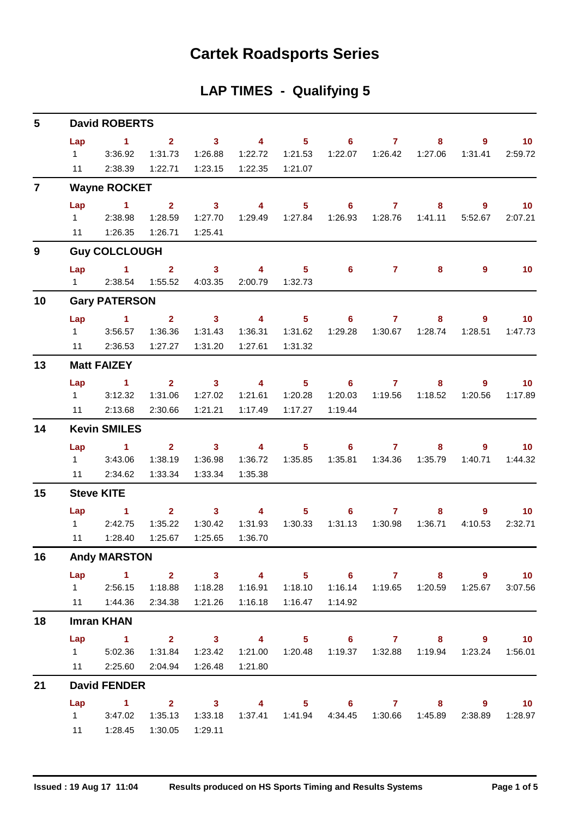## **Cartek Roadsports Series**

### **LAP TIMES - Qualifying 5**

| 5              | <b>David ROBERTS</b>   |                                  |                    |                         |                         |                  |                            |                |         |                        |                            |  |  |  |
|----------------|------------------------|----------------------------------|--------------------|-------------------------|-------------------------|------------------|----------------------------|----------------|---------|------------------------|----------------------------|--|--|--|
|                | Lap                    | $\sim$ 1                         | 2 <sup>7</sup>     | $\overline{\mathbf{3}}$ | $\overline{4}$          | 5 <sub>1</sub>   | 6 <sup>1</sup>             | $\overline{7}$ | 8       | $\overline{9}$         | 10 <sub>1</sub>            |  |  |  |
|                | $1 \quad$              | 3:36.92                          | 1:31.73            | 1:26.88                 | 1:22.72                 | 1:21.53          | 1:22.07                    | 1:26.42        | 1:27.06 | 1:31.41                | 2:59.72                    |  |  |  |
|                | 11                     | 2:38.39                          | 1:22.71            | 1:23.15                 | 1:22.35                 | 1:21.07          |                            |                |         |                        |                            |  |  |  |
| $\overline{7}$ |                        | <b>Wayne ROCKET</b>              |                    |                         |                         |                  |                            |                |         |                        |                            |  |  |  |
|                | Lap                    | $\blacktriangleleft$             | 2 <sup>1</sup>     | $\mathbf{3}$            | $\overline{\mathbf{4}}$ | 5 <sup>1</sup>   | 6                          | $\mathbf{7}$   | 8       | $9^{\circ}$            | 10 <sup>°</sup>            |  |  |  |
|                | $1 \quad \blacksquare$ | 2:38.98                          | 1:28.59            | 1:27.70                 |                         | 1:29.49  1:27.84 | 1:26.93                    | 1:28.76        | 1:41.11 | 5:52.67                | 2:07.21                    |  |  |  |
|                |                        | 11  1:26.35                      | 1:26.71            | 1:25.41                 |                         |                  |                            |                |         |                        |                            |  |  |  |
| 9              |                        | <b>Guy COLCLOUGH</b>             |                    |                         |                         |                  |                            |                |         |                        |                            |  |  |  |
|                | Lap                    | $\sim$ 1 $\sim$ 2                |                    | 3 <sup>1</sup>          | 4                       | 5 <sub>1</sub>   | $6^{\circ}$                | $\mathbf{7}$   | 8       | 9                      | 10 <sub>1</sub>            |  |  |  |
|                | $1 \quad \Box$         | 2:38.54                          | 1:55.52            | 4:03.35                 | 2:00.79                 | 1:32.73          |                            |                |         |                        |                            |  |  |  |
| 10             |                        | <b>Gary PATERSON</b>             |                    |                         |                         |                  |                            |                |         |                        |                            |  |  |  |
|                |                        | Lap 1                            | 2 <sup>1</sup>     | $\overline{\mathbf{3}}$ | $\overline{\mathbf{4}}$ | 5 <sub>1</sub>   | $6^{\circ}$                | $\mathbf{7}$   | 8       | $\overline{9}$         | 10 <sub>1</sub>            |  |  |  |
|                | $1 \quad \Box$         | 3:56.57                          | 1:36.36            | 1:31.43                 | 1:36.31                 | 1:31.62          | 1:29.28                    | 1:30.67        | 1:28.74 | 1:28.51                | 1:47.73                    |  |  |  |
|                |                        | 11 2:36.53                       | 1:27.27            | 1:31.20                 | 1:27.61                 | 1:31.32          |                            |                |         |                        |                            |  |  |  |
| 13             |                        | <b>Matt FAIZEY</b>               |                    |                         |                         |                  |                            |                |         |                        |                            |  |  |  |
|                | Lap                    | $\sim$ $-1$                      | $2^{\circ}$        | $\sim$ 3                | $\overline{4}$          | $5 -$            | $\overline{\phantom{a}}$ 6 | $\overline{7}$ | 8       | $9^{\circ}$            | 10                         |  |  |  |
|                | $1 \quad$              | 3:12.32                          | 1:31.06            | 1:27.02                 | 1:21.61                 | 1:20.28          | 1:20.03                    | 1:19.56        | 1:18.52 | 1:20.56                | 1:17.89                    |  |  |  |
|                | 11                     | 2:13.68                          | 2:30.66            | 1:21.21                 | 1:17.49                 | 1:17.27          | 1:19.44                    |                |         |                        |                            |  |  |  |
| 14             |                        | <b>Kevin SMILES</b>              |                    |                         |                         |                  |                            |                |         |                        |                            |  |  |  |
|                | Lap                    | $\sim$ 1                         | 2 <sup>7</sup>     | $\overline{\mathbf{3}}$ | $\overline{4}$          | 5 <sub>1</sub>   | 6 <sup>1</sup>             | $\mathbf{7}$   | 8       | $\overline{9}$         | 10 <sub>1</sub>            |  |  |  |
|                | $1 \quad$              | 3:43.06                          | 1:38.19            | 1:36.98                 | 1:36.72                 | 1:35.85          | 1:35.81                    | 1:34.36        | 1:35.79 | 1:40.71                | 1:44.32                    |  |  |  |
|                |                        | 11 2:34.62                       | 1:33.34            | 1:33.34                 | 1:35.38                 |                  |                            |                |         |                        |                            |  |  |  |
| 15             |                        | <b>Steve KITE</b>                |                    |                         |                         |                  |                            |                |         |                        |                            |  |  |  |
|                | Lap                    | $\sim$ $\sim$ 1                  | $\mathbf{2}$       | $\overline{\mathbf{3}}$ | $\overline{4}$          | 5 <sub>1</sub>   | $\overline{\phantom{0}}$ 6 | $\mathbf{7}$   | 8       | 9                      | 10                         |  |  |  |
|                | $1 \quad$<br>11        | 2:42.75<br>1:28.40               | 1:35.22<br>1:25.67 | 1:30.42<br>1:25.65      | 1:31.93<br>1:36.70      | 1:30.33          | 1:31.13                    | 1:30.98        | 1:36.71 | 4:10.53                | 2:32.71                    |  |  |  |
| 16             |                        |                                  |                    |                         |                         |                  |                            |                |         |                        |                            |  |  |  |
|                |                        | <b>Andy MARSTON</b>              |                    |                         |                         |                  |                            |                |         |                        |                            |  |  |  |
|                |                        | Lap 1 2 3 4 5 6 7 8<br>1 2:56.15 | 1:18.88            | 1:18.28                 | 1:16.91                 | 1:18.10          | 1:16.14                    | 1:19.65        | 1:20.59 | $9^{\circ}$<br>1:25.67 | $\overline{10}$<br>3:07.56 |  |  |  |
|                |                        | 11  1:44.36                      | 2:34.38            | 1:21.26                 | 1:16.18                 | 1:16.47          | 1:14.92                    |                |         |                        |                            |  |  |  |
| 18             |                        | <b>Imran KHAN</b>                |                    |                         |                         |                  |                            |                |         |                        |                            |  |  |  |
|                |                        | Lap 1                            |                    | $2 \t 3 \t 4$           |                         |                  | 5 6 7 8 9                  |                |         |                        | $\overline{\mathbf{10}}$   |  |  |  |
|                | $1 \quad$              | 5:02.36                          | 1:31.84            | 1:23.42                 | 1:21.00                 | 1:20.48          | 1:19.37                    | 1:32.88        | 1:19.94 | 1:23.24                | 1:56.01                    |  |  |  |
|                |                        | 11 2:25.60                       | 2:04.94            | 1:26.48                 | 1:21.80                 |                  |                            |                |         |                        |                            |  |  |  |
| 21             |                        | <b>David FENDER</b>              |                    |                         |                         |                  |                            |                |         |                        |                            |  |  |  |
|                | Lap                    | $1 \t 2 \t 3$                    |                    |                         | $\overline{\mathbf{4}}$ |                  | 5 6 7 8                    |                |         | $9^{\circ}$            | $\overline{10}$            |  |  |  |
|                | $1 \quad \Box$         | 3:47.02                          | 1:35.13            | 1:33.18                 | 1:37.41                 |                  | 1:41.94  4:34.45           | 1:30.66        | 1:45.89 | 2:38.89                | 1:28.97                    |  |  |  |
|                | 11                     | 1:28.45                          | 1:30.05            | 1:29.11                 |                         |                  |                            |                |         |                        |                            |  |  |  |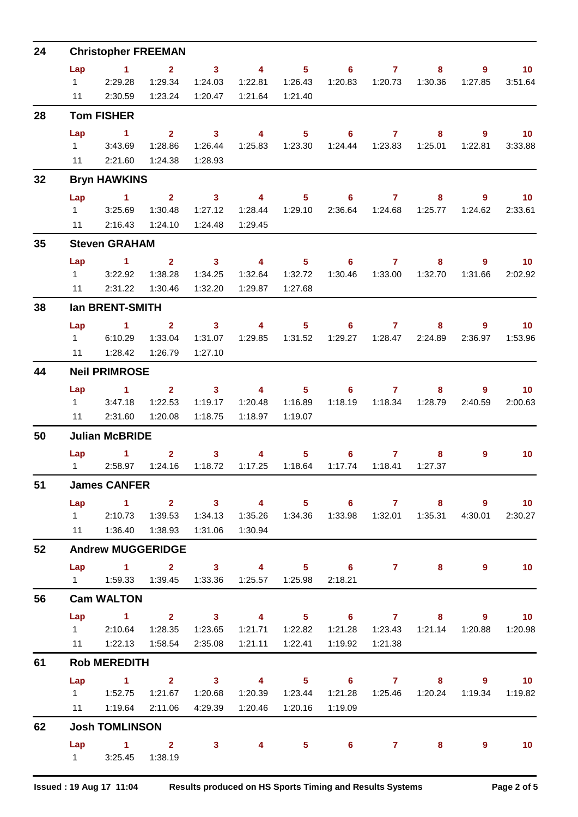| 24 | <b>Christopher FREEMAN</b> |                                                          |                |                         |                         |                  |                                                               |                |         |                |                   |  |  |  |
|----|----------------------------|----------------------------------------------------------|----------------|-------------------------|-------------------------|------------------|---------------------------------------------------------------|----------------|---------|----------------|-------------------|--|--|--|
|    | Lap                        | $\sim$ 1                                                 | $\overline{2}$ | 3 <sup>1</sup>          | $\overline{\mathbf{4}}$ | 5 <sup>1</sup>   | 6                                                             | $\overline{7}$ | 8       | 9              | 10 <sub>1</sub>   |  |  |  |
|    | $1 \quad$                  | 2:29.28                                                  | 1:29.34        | 1:24.03                 | 1:22.81                 | 1:26.43          | 1:20.83                                                       | 1:20.73        | 1:30.36 | 1:27.85        | 3:51.64           |  |  |  |
|    | 11                         | 2:30.59                                                  | 1:23.24        | 1:20.47                 | 1:21.64                 | 1:21.40          |                                                               |                |         |                |                   |  |  |  |
| 28 |                            | <b>Tom FISHER</b>                                        |                |                         |                         |                  |                                                               |                |         |                |                   |  |  |  |
|    | Lap                        | 1.                                                       | 2 <sup>1</sup> | 3 <sup>1</sup>          | 4                       | 5 <sup>5</sup>   | $6^{\circ}$                                                   | $\mathbf{7}$   | 8       | 9              | 10 <sup>°</sup>   |  |  |  |
|    | $1 \quad$                  | 3:43.69                                                  | 1:28.86        | 1:26.44                 | 1:25.83                 | 1:23.30          | 1:24.44                                                       | 1:23.83        | 1:25.01 | 1:22.81        | 3:33.88           |  |  |  |
|    | 11                         | 2:21.60                                                  | 1:24.38        | 1:28.93                 |                         |                  |                                                               |                |         |                |                   |  |  |  |
| 32 |                            | <b>Bryn HAWKINS</b>                                      |                |                         |                         |                  |                                                               |                |         |                |                   |  |  |  |
|    | Lap                        | $\sim$ 1                                                 | $2^{\circ}$    | $\overline{\mathbf{3}}$ | $\overline{4}$          | 5 <sup>1</sup>   | 6                                                             | $\overline{7}$ | 8       | 9              | 10                |  |  |  |
|    | $1 \quad$                  | 3:25.69                                                  | 1:30.48        | 1:27.12                 | 1:28.44                 | 1:29.10          | 2:36.64                                                       | 1:24.68        | 1:25.77 | 1:24.62        | 2:33.61           |  |  |  |
|    | 11                         | 2:16.43                                                  | 1:24.10        | 1:24.48                 | 1:29.45                 |                  |                                                               |                |         |                |                   |  |  |  |
| 35 |                            | <b>Steven GRAHAM</b>                                     |                |                         |                         |                  |                                                               |                |         |                |                   |  |  |  |
|    | Lap                        | $\blacktriangleleft$                                     | $\mathbf{2}$   | 3 <sup>1</sup>          | $\overline{4}$          | 5 <sup>1</sup>   | 6                                                             | $\mathbf{7}$   | 8       | 9              | 10 <sup>°</sup>   |  |  |  |
|    | $1 \quad \Box$             | 3:22.92                                                  | 1:38.28        | 1:34.25                 | 1:32.64                 | 1:32.72          | 1:30.46                                                       | 1:33.00        | 1:32.70 | 1:31.66        | 2:02.92           |  |  |  |
|    | 11                         | 2:31.22                                                  | 1:30.46        | 1:32.20                 | 1:29.87                 | 1:27.68          |                                                               |                |         |                |                   |  |  |  |
| 38 |                            | <b>Ian BRENT-SMITH</b>                                   |                |                         |                         |                  |                                                               |                |         |                |                   |  |  |  |
|    | Lap                        | $\mathbf{1}$                                             | $\overline{2}$ | $\mathbf{3}$            | $\overline{4}$          | 5 <sup>1</sup>   | 6                                                             | $\mathbf{7}$   | 8       | 9              | 10                |  |  |  |
|    | $1 \quad$                  | 6:10.29                                                  | 1:33.04        | 1:31.07                 | 1:29.85                 | 1:31.52          | 1:29.27                                                       | 1:28.47        | 2:24.89 | 2:36.97        | 1:53.96           |  |  |  |
|    | 11                         | 1:28.42                                                  | 1:26.79        | 1:27.10                 |                         |                  |                                                               |                |         |                |                   |  |  |  |
| 44 |                            | <b>Neil PRIMROSE</b>                                     |                |                         |                         |                  |                                                               |                |         |                |                   |  |  |  |
|    | Lap                        | $\blacktriangleleft$                                     | $\overline{2}$ | 3 <sup>1</sup>          | 4                       | 5 <sup>1</sup>   | 6                                                             | $\mathbf{7}$   | 8       | 9              | 10                |  |  |  |
|    | $1 \quad$                  | 3:47.18                                                  | 1:22.53        | 1:19.17                 | 1:20.48                 | 1:16.89          | 1:18.19                                                       |                |         | 2:40.59        | 2:00.63           |  |  |  |
|    | 11                         | 2:31.60                                                  | 1:20.08        | 1:18.75                 | 1:18.97                 | 1:19.07          |                                                               |                |         |                |                   |  |  |  |
| 50 |                            | <b>Julian McBRIDE</b>                                    |                |                         |                         |                  |                                                               |                |         |                |                   |  |  |  |
|    | Lap                        | $\mathbf 1$                                              | $\mathbf{2}$   | 3                       | 4                       | 5                | 6                                                             | 7              | 8       | 9              | 10 <sup>°</sup>   |  |  |  |
|    | $1 \quad \Box$             | 2:58.97                                                  | 1:24.16        | 1:18.72                 | 1:17.25                 | 1:18.64          | 1:17.74                                                       | 1:18.41        | 1:27.37 |                |                   |  |  |  |
| 51 |                            | <b>James CANFER</b>                                      |                |                         |                         |                  |                                                               |                |         |                |                   |  |  |  |
|    |                            | Lap 1 2 3 4 5 6 7 8                                      |                |                         |                         |                  |                                                               |                |         | $\overline{9}$ | $\blacksquare$ 10 |  |  |  |
|    |                            | 1 2:10.73                                                | 1:39.53        | 1:34.13                 |                         |                  |                                                               |                |         | 4:30.01        | 2:30.27           |  |  |  |
|    |                            | 11   1:36.40   1:38.93                                   |                | 1:31.06                 | 1:30.94                 |                  |                                                               |                |         |                |                   |  |  |  |
| 52 |                            | <b>Andrew MUGGERIDGE</b>                                 |                |                         |                         |                  |                                                               |                |         |                |                   |  |  |  |
|    |                            | Lap 1 2 3 4 5 6 7 8                                      |                |                         |                         |                  |                                                               |                |         | $9^{\circ}$    | 10                |  |  |  |
|    |                            | 1    1:59.33    1:39.45    1:33.36    1:25.57    1:25.98 |                |                         |                         |                  | 2:18.21                                                       |                |         |                |                   |  |  |  |
| 56 |                            | <b>Cam WALTON</b>                                        |                |                         |                         |                  |                                                               |                |         |                |                   |  |  |  |
|    | Lap                        | $1 \t2 \t3 \t4$                                          |                |                         |                         |                  | $5 \t\t 6 \t\t 7$                                             |                |         | $8 - 1$<br>9   | $\sim$ 10         |  |  |  |
|    |                            | 1 2:10.64 1:28.35 1:23.65                                |                |                         |                         |                  | 1:21.71  1:22.82  1:21.28  1:23.43  1:21.14  1:20.88  1:20.98 |                |         |                |                   |  |  |  |
|    |                            |                                                          |                | 2:35.08                 |                         |                  | 1:19.92                                                       | 1:21.38        |         |                |                   |  |  |  |
| 61 |                            | <b>Rob MEREDITH</b>                                      |                |                         |                         |                  |                                                               |                |         |                |                   |  |  |  |
|    |                            | Lap 1 2 3 4 5 6 7 8 9 10                                 |                |                         |                         |                  |                                                               |                |         |                |                   |  |  |  |
|    |                            |                                                          |                | 1:20.68                 |                         |                  |                                                               |                |         |                | 1:19.34  1:19.82  |  |  |  |
|    | 11                         | 1:19.64                                                  | 2:11.06        | 4:29.39                 |                         | 1:20.46  1:20.16 | 1:19.09                                                       |                |         |                |                   |  |  |  |
| 62 |                            | <b>Josh TOMLINSON</b>                                    |                |                         |                         |                  |                                                               |                |         |                |                   |  |  |  |
|    |                            | $Lap$ 1 2                                                |                | 3 <sup>1</sup>          | 4                       |                  | $5 \t\t 6$                                                    | $\overline{7}$ | 8       | 9              | 10                |  |  |  |
|    |                            | 1 3:25.45 1:38.19                                        |                |                         |                         |                  |                                                               |                |         |                |                   |  |  |  |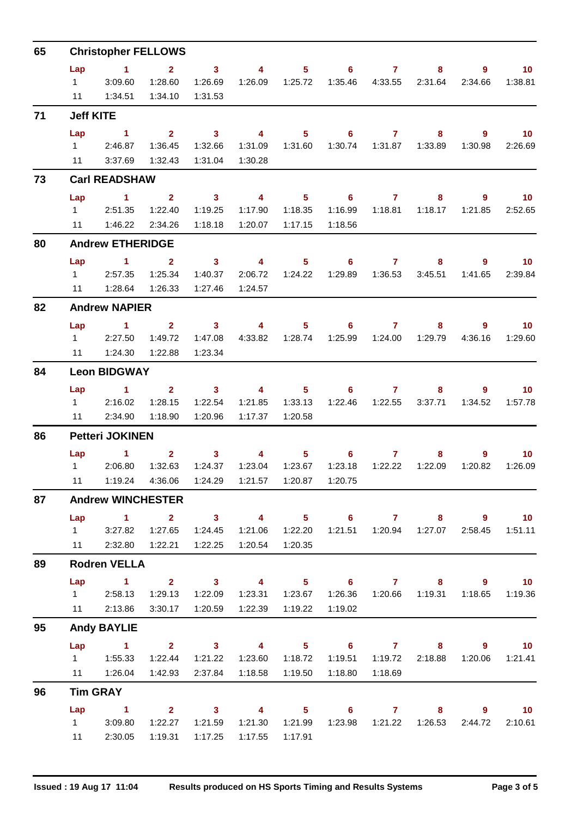| 65 | <b>Christopher FELLOWS</b> |                                                          |                         |                                                                                                                                                                                                                                                                                                                                                                                                                                    |                     |                                                                                                                                                                                                                                                                                                                                                        |                            |                    |                                |                                    |                            |  |  |  |
|----|----------------------------|----------------------------------------------------------|-------------------------|------------------------------------------------------------------------------------------------------------------------------------------------------------------------------------------------------------------------------------------------------------------------------------------------------------------------------------------------------------------------------------------------------------------------------------|---------------------|--------------------------------------------------------------------------------------------------------------------------------------------------------------------------------------------------------------------------------------------------------------------------------------------------------------------------------------------------------|----------------------------|--------------------|--------------------------------|------------------------------------|----------------------------|--|--|--|
|    | Lap                        | $\sim$ 1                                                 | $\mathbf{2}$            | $\overline{\mathbf{3}}$                                                                                                                                                                                                                                                                                                                                                                                                            | $\overline{4}$      |                                                                                                                                                                                                                                                                                                                                                        | $5 \t\t 6 \t\t 7$          |                    | 8                              | 9                                  | $\blacksquare$ 10          |  |  |  |
|    | $1 \quad \Box$             | 3:09.60                                                  | 1:28.60                 | 1:26.69                                                                                                                                                                                                                                                                                                                                                                                                                            |                     |                                                                                                                                                                                                                                                                                                                                                        |                            | 1:35.46    4:33.55 | 2:31.64                        | 2:34.66                            | 1:38.81                    |  |  |  |
|    | 11                         | 1:34.51                                                  | 1:34.10                 | 1:31.53                                                                                                                                                                                                                                                                                                                                                                                                                            |                     |                                                                                                                                                                                                                                                                                                                                                        |                            |                    |                                |                                    |                            |  |  |  |
| 71 | <b>Jeff KITE</b>           |                                                          |                         |                                                                                                                                                                                                                                                                                                                                                                                                                                    |                     |                                                                                                                                                                                                                                                                                                                                                        |                            |                    |                                |                                    |                            |  |  |  |
|    | Lap                        | $\sim$ 1                                                 | 2 <sup>1</sup>          | $\sim$ 3                                                                                                                                                                                                                                                                                                                                                                                                                           | $\overline{4}$      | 5 <sub>1</sub>                                                                                                                                                                                                                                                                                                                                         | $\overline{\phantom{0}}$ 6 | $\overline{7}$     | 8                              | $9^{\circ}$                        | 10                         |  |  |  |
|    |                            | 12:46.87                                                 | 1:36.45                 | 1:32.66                                                                                                                                                                                                                                                                                                                                                                                                                            | 1:31.09             | 1:31.60                                                                                                                                                                                                                                                                                                                                                |                            |                    |                                | 1:30.98                            | 2:26.69                    |  |  |  |
|    | 11                         | 3:37.69                                                  | 1:32.43                 | 1:31.04                                                                                                                                                                                                                                                                                                                                                                                                                            | 1:30.28             |                                                                                                                                                                                                                                                                                                                                                        |                            |                    |                                |                                    |                            |  |  |  |
| 73 |                            | <b>Carl READSHAW</b>                                     |                         |                                                                                                                                                                                                                                                                                                                                                                                                                                    |                     |                                                                                                                                                                                                                                                                                                                                                        |                            |                    |                                |                                    |                            |  |  |  |
|    | Lap                        | $\sim$ 1                                                 | $\overline{\mathbf{2}}$ |                                                                                                                                                                                                                                                                                                                                                                                                                                    | $3 \qquad \qquad 4$ |                                                                                                                                                                                                                                                                                                                                                        | $5 \t\t 6 \t\t 7$          |                    | 8                              | 9                                  | $\sim$ 10                  |  |  |  |
|    | $1 \quad \Box$             | 2:51.35                                                  | 1:22.40                 | 1:19.25                                                                                                                                                                                                                                                                                                                                                                                                                            | 1:17.90             | 1:18.35                                                                                                                                                                                                                                                                                                                                                | 1:16.99                    | 1:18.81            | 1:18.17                        | 1:21.85                            | 2:52.65                    |  |  |  |
|    | 11                         | 1:46.22                                                  | 2:34.26                 | 1:18.18                                                                                                                                                                                                                                                                                                                                                                                                                            | 1:20.07  1:17.15    |                                                                                                                                                                                                                                                                                                                                                        | 1:18.56                    |                    |                                |                                    |                            |  |  |  |
| 80 |                            | <b>Andrew ETHERIDGE</b>                                  |                         |                                                                                                                                                                                                                                                                                                                                                                                                                                    |                     |                                                                                                                                                                                                                                                                                                                                                        |                            |                    |                                |                                    |                            |  |  |  |
|    | Lap                        | $\sim$ 1                                                 | $\overline{2}$          | $\overline{\mathbf{3}}$                                                                                                                                                                                                                                                                                                                                                                                                            | $\overline{4}$      | $5 -$                                                                                                                                                                                                                                                                                                                                                  | $6 -$                      | $\overline{7}$     | 8                              | $\overline{9}$                     | 10 <sub>1</sub>            |  |  |  |
|    |                            | 12:57.35                                                 | 1:25.34                 | 1:40.37                                                                                                                                                                                                                                                                                                                                                                                                                            |                     | 2:06.72 1:24.22                                                                                                                                                                                                                                                                                                                                        |                            |                    |                                | 1:41.65                            | 2:39.84                    |  |  |  |
|    |                            | 11   1:28.64                                             | 1:26.33                 | 1:27.46                                                                                                                                                                                                                                                                                                                                                                                                                            | 1:24.57             |                                                                                                                                                                                                                                                                                                                                                        |                            |                    |                                |                                    |                            |  |  |  |
| 82 |                            | <b>Andrew NAPIER</b>                                     |                         |                                                                                                                                                                                                                                                                                                                                                                                                                                    |                     |                                                                                                                                                                                                                                                                                                                                                        |                            |                    |                                |                                    |                            |  |  |  |
|    | Lap                        | $\sim$ 1                                                 |                         |                                                                                                                                                                                                                                                                                                                                                                                                                                    | $2 \t 3 \t 4$       |                                                                                                                                                                                                                                                                                                                                                        | $5 \t\t 6 \t\t 7$          |                    | 8                              | 9                                  | $\sim$ 10                  |  |  |  |
|    | $1 \quad \Box$             | 2:27.50                                                  | 1:49.72<br>1:22.88      | 1:47.08<br>1:23.34                                                                                                                                                                                                                                                                                                                                                                                                                 |                     | 4:33.82  1:28.74                                                                                                                                                                                                                                                                                                                                       | 1:25.99                    | 1:24.00            | 1:29.79                        | 4:36.16                            | 1:29.60                    |  |  |  |
|    | 11                         | 1:24.30                                                  |                         |                                                                                                                                                                                                                                                                                                                                                                                                                                    |                     |                                                                                                                                                                                                                                                                                                                                                        |                            |                    |                                |                                    |                            |  |  |  |
| 84 |                            | <b>Leon BIDGWAY</b>                                      |                         |                                                                                                                                                                                                                                                                                                                                                                                                                                    |                     |                                                                                                                                                                                                                                                                                                                                                        |                            |                    |                                |                                    |                            |  |  |  |
|    | Lap                        | $\sim$ 1<br>12:16.02                                     |                         | $2 \qquad \qquad 3$                                                                                                                                                                                                                                                                                                                                                                                                                | $\overline{4}$      |                                                                                                                                                                                                                                                                                                                                                        | $5^{\circ}$<br>6           |                    | $7 \pm 1$<br>8                 | $9^{\circ}$<br>1:34.52             | 10 <sub>1</sub><br>1:57.78 |  |  |  |
|    | 11                         | 2:34.90                                                  | 1:28.15<br>1:18.90      | 1:22.54<br>1:20.96                                                                                                                                                                                                                                                                                                                                                                                                                 | 1:21.85<br>1:17.37  | 1:33.13<br>1:20.58                                                                                                                                                                                                                                                                                                                                     |                            |                    | 1:22.46  1:22.55  3:37.71      |                                    |                            |  |  |  |
|    |                            |                                                          |                         |                                                                                                                                                                                                                                                                                                                                                                                                                                    |                     |                                                                                                                                                                                                                                                                                                                                                        |                            |                    |                                |                                    |                            |  |  |  |
| 86 |                            | <b>Petteri JOKINEN</b>                                   |                         |                                                                                                                                                                                                                                                                                                                                                                                                                                    |                     |                                                                                                                                                                                                                                                                                                                                                        |                            |                    |                                |                                    |                            |  |  |  |
|    | $1 \quad \Box$             | $Lap$ 1<br>2:06.80                                       | 1:32.63                 | 3 <sup>1</sup><br>$\overline{\mathbf{2}}$ and $\overline{\mathbf{2}}$ and $\overline{\mathbf{2}}$ and $\overline{\mathbf{2}}$ and $\overline{\mathbf{2}}$ and $\overline{\mathbf{2}}$ and $\overline{\mathbf{2}}$ and $\overline{\mathbf{2}}$ and $\overline{\mathbf{2}}$ and $\overline{\mathbf{2}}$ and $\overline{\mathbf{2}}$ and $\overline{\mathbf{2}}$ and $\overline{\mathbf{2}}$ and $\overline{\mathbf{2}}$ a<br>1:24.37 |                     | $\overline{4}$ and $\overline{4}$ and $\overline{4}$ and $\overline{4}$ and $\overline{4}$ and $\overline{4}$ and $\overline{4}$ and $\overline{4}$ and $\overline{4}$ and $\overline{4}$ and $\overline{4}$ and $\overline{4}$ and $\overline{4}$ and $\overline{4}$ and $\overline{4}$ and $\overline{4}$ and $\overline{4}$ and<br>1:23.04  1:23.67 | $5 \t\t 6$                 | $\mathbf{7}$       | 8<br>1:23.18  1:22.22  1:22.09 | 9<br>1:20.82                       | 10 <sub>1</sub><br>1:26.09 |  |  |  |
|    |                            | 11  1:19.24  4:36.06  1:24.29  1:21.57  1:20.87  1:20.75 |                         |                                                                                                                                                                                                                                                                                                                                                                                                                                    |                     |                                                                                                                                                                                                                                                                                                                                                        |                            |                    |                                |                                    |                            |  |  |  |
| 87 |                            | <b>Andrew WINCHESTER</b>                                 |                         |                                                                                                                                                                                                                                                                                                                                                                                                                                    |                     |                                                                                                                                                                                                                                                                                                                                                        |                            |                    |                                |                                    |                            |  |  |  |
|    | Lap                        | 1 2 3 4 5 6 7 8 9 10                                     |                         |                                                                                                                                                                                                                                                                                                                                                                                                                                    |                     |                                                                                                                                                                                                                                                                                                                                                        |                            |                    |                                |                                    |                            |  |  |  |
|    |                            | 1 3:27.82                                                | 1:27.65                 | 1:24.45                                                                                                                                                                                                                                                                                                                                                                                                                            |                     | 1:21.06  1:22.20                                                                                                                                                                                                                                                                                                                                       |                            |                    | 1:21.51  1:20.94  1:27.07      | 2:58.45                            | 1:51.11                    |  |  |  |
|    |                            | 11  2:32.80  1:22.21  1:22.25                            |                         |                                                                                                                                                                                                                                                                                                                                                                                                                                    | 1:20.54  1:20.35    |                                                                                                                                                                                                                                                                                                                                                        |                            |                    |                                |                                    |                            |  |  |  |
| 89 |                            | <b>Rodren VELLA</b>                                      |                         |                                                                                                                                                                                                                                                                                                                                                                                                                                    |                     |                                                                                                                                                                                                                                                                                                                                                        |                            |                    |                                |                                    |                            |  |  |  |
|    | Lap                        | $\sim$ $\sim$ 1.                                         | $2 \t 3$                |                                                                                                                                                                                                                                                                                                                                                                                                                                    |                     |                                                                                                                                                                                                                                                                                                                                                        |                            |                    |                                | 4 5 6 7 8 9 10                     |                            |  |  |  |
|    |                            | 1 2:58.13 1:29.13 1:22.09                                |                         |                                                                                                                                                                                                                                                                                                                                                                                                                                    |                     |                                                                                                                                                                                                                                                                                                                                                        |                            |                    | 1:26.36  1:20.66  1:19.31      |                                    | 1:18.65 1:19.36            |  |  |  |
|    |                            | 11 2:13.86                                               | 3:30.17                 | 1:20.59                                                                                                                                                                                                                                                                                                                                                                                                                            |                     |                                                                                                                                                                                                                                                                                                                                                        | 1:19.02                    |                    |                                |                                    |                            |  |  |  |
| 95 |                            | <b>Andy BAYLIE</b>                                       |                         |                                                                                                                                                                                                                                                                                                                                                                                                                                    |                     |                                                                                                                                                                                                                                                                                                                                                        |                            |                    |                                |                                    |                            |  |  |  |
|    | Lap                        | 1 2 3 4 5 6 7 8 9 10                                     |                         |                                                                                                                                                                                                                                                                                                                                                                                                                                    |                     |                                                                                                                                                                                                                                                                                                                                                        |                            |                    |                                |                                    |                            |  |  |  |
|    |                            |                                                          | 1:22.44                 | 1:21.22                                                                                                                                                                                                                                                                                                                                                                                                                            | 1:23.60             | 1:18.72                                                                                                                                                                                                                                                                                                                                                | 1:19.51                    | 1:19.72            | 2:18.88                        | 1:20.06                            | 1:21.41                    |  |  |  |
|    |                            |                                                          | 1:42.93                 | 2:37.84                                                                                                                                                                                                                                                                                                                                                                                                                            |                     |                                                                                                                                                                                                                                                                                                                                                        | 1:18.80                    | 1:18.69            |                                |                                    |                            |  |  |  |
| 96 |                            | <b>Tim GRAY</b>                                          |                         |                                                                                                                                                                                                                                                                                                                                                                                                                                    |                     |                                                                                                                                                                                                                                                                                                                                                        |                            |                    |                                |                                    |                            |  |  |  |
|    | Lap                        | $\sim$ $\sim$ 1                                          | $2 \t 3$                |                                                                                                                                                                                                                                                                                                                                                                                                                                    |                     |                                                                                                                                                                                                                                                                                                                                                        | 4 5 6 7                    |                    |                                | $8 - 1$                            | $9 \t 10$                  |  |  |  |
|    |                            | 1 3:09.80                                                | 1:22.27                 | 1:21.59                                                                                                                                                                                                                                                                                                                                                                                                                            |                     |                                                                                                                                                                                                                                                                                                                                                        |                            |                    |                                | 1:23.98  1:21.22  1:26.53  2:44.72 | 2:10.61                    |  |  |  |
|    |                            | 11 2:30.05                                               | 1:19.31                 | 1:17.25                                                                                                                                                                                                                                                                                                                                                                                                                            | 1:17.55             | 1:17.91                                                                                                                                                                                                                                                                                                                                                |                            |                    |                                |                                    |                            |  |  |  |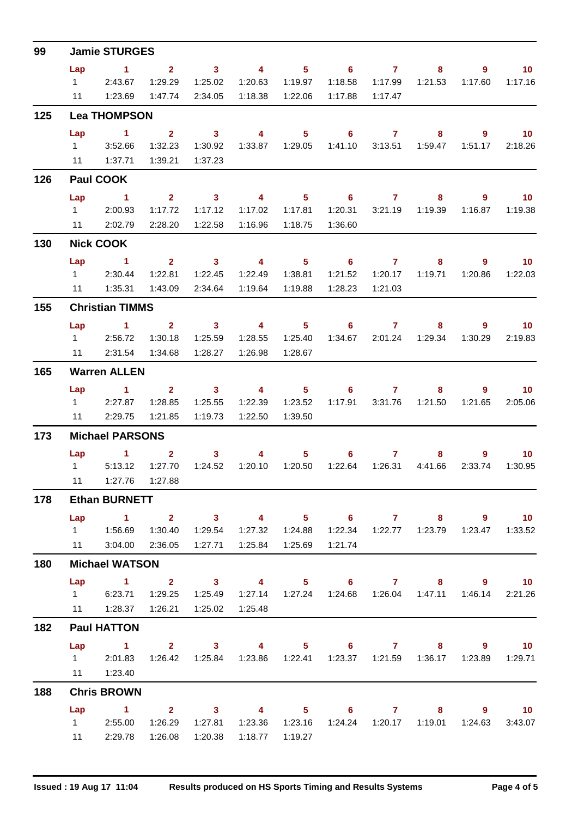| 99  | <b>Jamie STURGES</b> |                          |                               |                         |                                             |                  |                            |                |                           |                |                             |  |  |  |
|-----|----------------------|--------------------------|-------------------------------|-------------------------|---------------------------------------------|------------------|----------------------------|----------------|---------------------------|----------------|-----------------------------|--|--|--|
|     | Lap                  | $\blacktriangleleft$     | 2 <sup>2</sup>                | $\sim$ 3                | $\overline{4}$                              | $5 -$            | $\overline{\phantom{0}}$ 6 | $\overline{7}$ | 8                         | 9              | 10 <sup>°</sup>             |  |  |  |
|     | $1 \quad \Box$       | 2:43.67                  | 1:29.29                       | 1:25.02                 | 1:20.63                                     | 1:19.97          | 1:18.58                    | 1:17.99        | 1:21.53                   | 1:17.60        | 1:17.16                     |  |  |  |
|     | 11                   | 1:23.69                  | 1:47.74                       | 2:34.05                 | 1:18.38                                     | 1:22.06          | 1:17.88                    | 1:17.47        |                           |                |                             |  |  |  |
| 125 |                      | <b>Lea THOMPSON</b>      |                               |                         |                                             |                  |                            |                |                           |                |                             |  |  |  |
|     | Lap                  | $\mathbf 1$              | $\mathbf{2}$                  | $\mathbf{3}$            | $\overline{4}$                              | 5 <sup>1</sup>   | 6                          | $\overline{7}$ | 8                         | $\overline{9}$ | 10 <sub>1</sub>             |  |  |  |
|     | $1 \quad \Box$       | 3:52.66                  | 1:32.23                       | 1:30.92                 |                                             |                  | 1:41.10                    | 3:13.51        | 1:59.47                   | 1:51.17        | 2:18.26                     |  |  |  |
|     | 11                   | 1:37.71                  | 1:39.21                       | 1:37.23                 |                                             |                  |                            |                |                           |                |                             |  |  |  |
| 126 |                      | <b>Paul COOK</b>         |                               |                         |                                             |                  |                            |                |                           |                |                             |  |  |  |
|     | Lap                  | $\sim$ 1                 | 2 <sup>2</sup>                | $\overline{\mathbf{3}}$ | $\overline{\mathbf{4}}$                     | $5 -$            | $\sim$ 6                   | $\overline{7}$ | 8                         | 9              | $\blacksquare$ 10           |  |  |  |
|     | $1 \quad \Box$       | 2:00.93                  | 1:17.72                       | 1:17.12                 | 1:17.02                                     | 1:17.81          | 1:20.31                    | 3:21.19        | 1:19.39                   | 1:16.87        | 1:19.38                     |  |  |  |
|     | 11                   | 2:02.79                  | 2:28.20                       | 1:22.58                 | 1:16.96                                     | 1:18.75          | 1:36.60                    |                |                           |                |                             |  |  |  |
| 130 |                      | <b>Nick COOK</b>         |                               |                         |                                             |                  |                            |                |                           |                |                             |  |  |  |
|     | Lap                  | $\blacktriangleleft$     | 2 <sup>1</sup>                | $\sim$ 3                | $\overline{4}$                              | 5 <sub>1</sub>   | $\overline{\phantom{0}}$ 6 | $\mathbf{7}$   | 8                         | $\overline{9}$ | 10 <sub>1</sub>             |  |  |  |
|     |                      | 1 2:30.44                | 1:22.81                       | 1:22.45                 | 1:22.49                                     | 1:38.81          | 1:21.52                    | 1:20.17        | 1:19.71                   | 1:20.86        | 1:22.03                     |  |  |  |
|     | 11                   | 1:35.31                  | 1:43.09                       | 2:34.64                 | 1:19.64                                     | 1:19.88          | 1:28.23                    | 1:21.03        |                           |                |                             |  |  |  |
| 155 |                      | <b>Christian TIMMS</b>   |                               |                         |                                             |                  |                            |                |                           |                |                             |  |  |  |
|     | Lap                  | $\sim$ $\sim$ 1          | $2^{\circ}$                   | $\sim$ 3                | $\sim$ 4                                    | 5 <sub>5</sub>   | $\overline{\phantom{0}}$ 6 | $\mathbf{7}$   | 8                         | 9              | 10                          |  |  |  |
|     |                      | 1 2:56.72                | 1:30.18                       | 1:25.59                 | 1:28.55                                     | 1:25.40          | 1:34.67                    |                | 2:01.24 1:29.34           | 1:30.29        | 2:19.83                     |  |  |  |
|     | 11                   | 2:31.54                  | 1:34.68                       | 1:28.27                 | 1:26.98                                     | 1:28.67          |                            |                |                           |                |                             |  |  |  |
| 165 |                      | <b>Warren ALLEN</b>      |                               |                         |                                             |                  |                            |                |                           |                |                             |  |  |  |
|     | Lap                  | $\blacktriangleleft$     | $2^{\circ}$                   | 3 <sup>1</sup>          | $\overline{4}$                              | 5 <sup>5</sup>   | 6                          | $\mathbf{7}$   | 8                         | $\overline{9}$ | 10 <sup>°</sup>             |  |  |  |
|     |                      | 12:27.87                 | 1:28.85                       | 1:25.55                 | 1:22.39                                     | 1:23.52          |                            |                | 1:17.91  3:31.76  1:21.50 | 1:21.65        | 2:05.06                     |  |  |  |
|     | 11                   | 2:29.75                  | 1:21.85                       | 1:19.73                 | 1:22.50                                     | 1:39.50          |                            |                |                           |                |                             |  |  |  |
| 173 |                      | <b>Michael PARSONS</b>   |                               |                         |                                             |                  |                            |                |                           |                |                             |  |  |  |
|     |                      | <b>Lap</b><br>1.         | $\mathbf{2}$                  | $\mathbf{3}$            | 4                                           | 5 <sup>1</sup>   | 6.                         | $\mathbf{7}$   | 8                         | 9.             | 10 <sup>°</sup>             |  |  |  |
|     | $1 \quad \Box$       | 5:13.12                  | 1:27.70                       | 1:24.52                 | 1:20.10                                     | 1:20.50          | 1:22.64                    | 1:26.31        | 4:41.66                   | 2:33.74        | 1:30.95                     |  |  |  |
|     |                      | 11  1:27.76  1:27.88     |                               |                         |                                             |                  |                            |                |                           |                |                             |  |  |  |
| 178 |                      | <b>Ethan BURNETT</b>     |                               |                         |                                             |                  |                            |                |                           |                |                             |  |  |  |
|     | Lap                  | 1 2 3 4 5 6 7 8 9 10     |                               |                         |                                             |                  |                            |                |                           |                |                             |  |  |  |
|     |                      |                          | 1:30.40                       | 1:29.54                 |                                             | 1:27.32  1:24.88 |                            |                |                           |                | 1:23.47  1:33.52            |  |  |  |
|     |                      | 11   3:04.00   2:36.05   |                               | 1:27.71                 |                                             |                  | 1:21.74                    |                |                           |                |                             |  |  |  |
| 180 |                      | <b>Michael WATSON</b>    |                               |                         |                                             |                  |                            |                |                           |                |                             |  |  |  |
|     | Lap                  | $\sim$ $\sim$ 1.         | $\overline{2}$ $\overline{3}$ |                         | 4 5 6 7                                     |                  |                            |                |                           | 8 9 10         |                             |  |  |  |
|     |                      | 1 6:23.71 1:29.25        |                               | 1:25.49                 |                                             |                  |                            |                |                           | 1:46.14        | 2:21.26                     |  |  |  |
|     |                      | 11   1:28.37   1:26.21   |                               | 1:25.02                 | 1:25.48                                     |                  |                            |                |                           |                |                             |  |  |  |
| 182 |                      | <b>Paul HATTON</b>       |                               |                         |                                             |                  |                            |                |                           |                |                             |  |  |  |
|     |                      | Lap 1 2 3 4 5 6 7 8 9 10 |                               |                         |                                             |                  |                            |                |                           |                |                             |  |  |  |
|     |                      | 1 2:01.83                |                               | 1:26.42  1:25.84        | 1:23.86  1:22.41  1:23.37  1:21.59  1:36.17 |                  |                            |                |                           |                | 1:23.89  1:29.71            |  |  |  |
|     |                      | 11  1:23.40              |                               |                         |                                             |                  |                            |                |                           |                |                             |  |  |  |
| 188 |                      | <b>Chris BROWN</b>       |                               |                         |                                             |                  |                            |                |                           |                |                             |  |  |  |
|     | Lap                  | $\sim$ $\sim$ 1.         |                               |                         | 2 3 4 5 6 7                                 |                  |                            |                |                           | $8 - 1$<br>9   | $\overline{\phantom{0}}$ 10 |  |  |  |
|     |                      | 1 2:55.00 1:26.29        |                               | 1:27.81                 |                                             |                  |                            |                |                           |                | 3:43.07                     |  |  |  |
|     |                      | 11 2:29.78               | 1:26.08                       | 1:20.38                 | 1:18.77                                     | 1:19.27          |                            |                |                           |                |                             |  |  |  |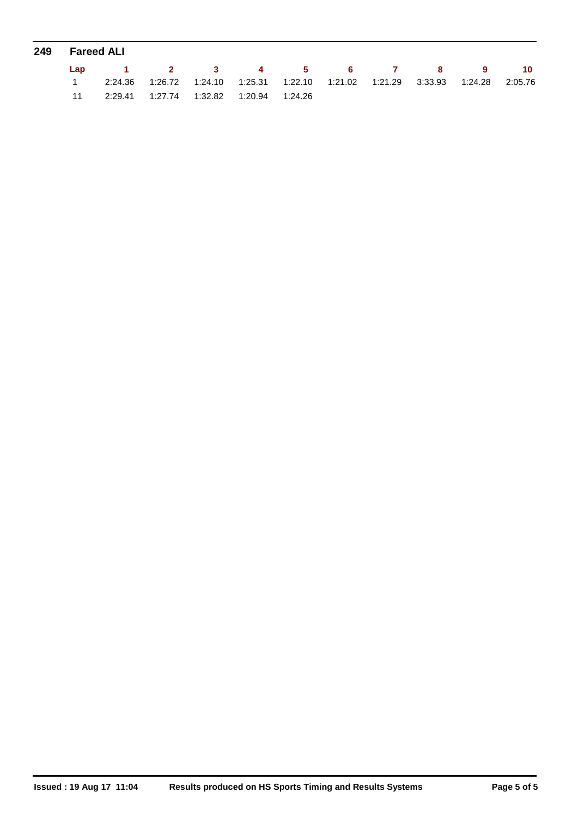| 249 | Fareed ALI |                          |  |                                                                                 |  |  |  |  |  |  |  |  |  |  |
|-----|------------|--------------------------|--|---------------------------------------------------------------------------------|--|--|--|--|--|--|--|--|--|--|
|     |            | Lap 1 2 3 4 5 6 7 8 9 10 |  |                                                                                 |  |  |  |  |  |  |  |  |  |  |
|     |            |                          |  | 2:24.36 1:26.72 1:24.10 1:25.31 1:22.10 1:21.02 1:21.29 3:33.93 1:24.28 2:05.76 |  |  |  |  |  |  |  |  |  |  |
|     |            |                          |  |                                                                                 |  |  |  |  |  |  |  |  |  |  |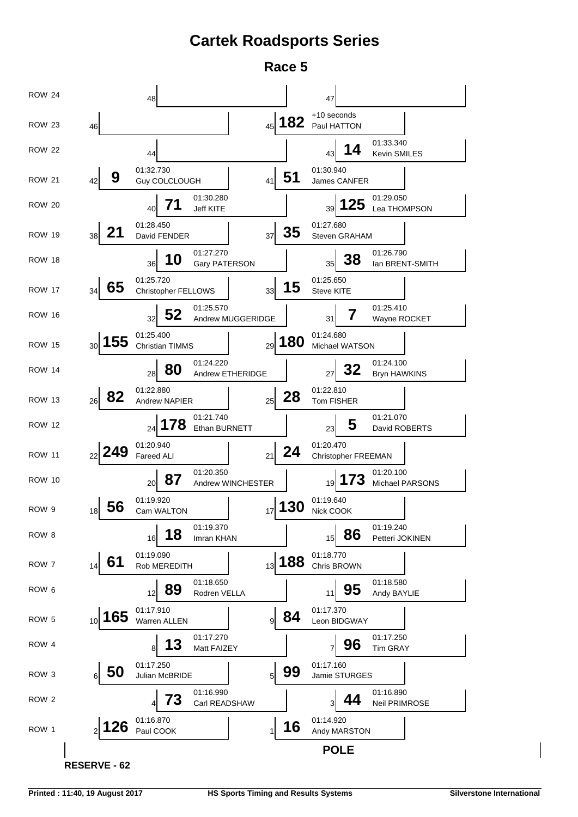### **Cartek Roadsports Series**

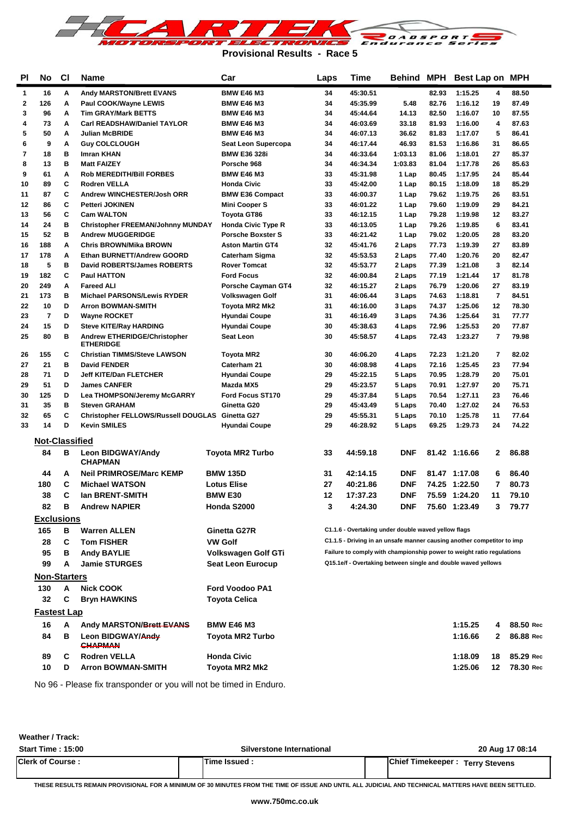

**Provisional Results - Race 5**

| <b>PI</b>   | No                    | <b>CI</b> | Name                                                             | Car                                      |          | Time                                                                   |                  |                | Behind MPH Best Lap on |                | MPH            |
|-------------|-----------------------|-----------|------------------------------------------------------------------|------------------------------------------|----------|------------------------------------------------------------------------|------------------|----------------|------------------------|----------------|----------------|
| 1           | 16                    | Α         | <b>Andy MARSTON/Brett EVANS</b>                                  | <b>BMW E46 M3</b>                        | 34       | 45:30.51                                                               |                  | 82.93          | 1:15.25                | 4              | 88.50          |
| $\mathbf 2$ | 126                   | A         | Paul COOK/Wayne LEWIS                                            | <b>BMW E46 M3</b>                        | 34       | 45:35.99                                                               | 5.48             | 82.76          | 1:16.12                | 19             | 87.49          |
| 3           | 96                    | Α         | <b>Tim GRAY/Mark BETTS</b>                                       | <b>BMW E46 M3</b>                        | 34       | 45:44.64                                                               | 14.13            | 82.50          | 1:16.07                | 10             | 87.55          |
| 4           | 73                    | A         | <b>Carl READSHAW/Daniel TAYLOR</b>                               | <b>BMW E46 M3</b>                        | 34       | 46:03.69                                                               | 33.18            | 81.93          | 1:16.00                | 4              | 87.63          |
| 5           | 50                    | A         | <b>Julian McBRIDE</b>                                            | <b>BMW E46 M3</b>                        | 34       | 46:07.13                                                               | 36.62            | 81.83          | 1:17.07                | 5              | 86.41          |
| 6           | 9                     | Α         | <b>Guy COLCLOUGH</b>                                             | Seat Leon Supercopa                      | 34       | 46:17.44                                                               | 46.93            | 81.53          | 1:16.86                | 31             | 86.65          |
| 7           | 18                    | в         | Imran KHAN                                                       | <b>BMW E36 328i</b>                      | 34       | 46:33.64                                                               | 1:03.13          | 81.06          | 1:18.01                | 27             | 85.37          |
| 8           | 13                    | в         | <b>Matt FAIZEY</b>                                               | Porsche 968                              | 34       | 46:34.34                                                               | 1:03.83          | 81.04          | 1:17.78                | 26             | 85.63          |
| 9           | 61                    | A         | <b>Rob MEREDITH/Bill FORBES</b>                                  | <b>BMW E46 M3</b>                        | 33       | 45:31.98                                                               | 1 Lap            | 80.45          | 1:17.95                | 24             | 85.44          |
| 10          | 89                    | C         | <b>Rodren VELLA</b>                                              | <b>Honda Civic</b>                       | 33       | 45:42.00                                                               | 1 Lap            | 80.15          | 1:18.09                | 18             | 85.29          |
| 11          | 87                    | c         | Andrew WINCHESTER/Josh ORR                                       | <b>BMW E36 Compact</b>                   | 33       | 46:00.37                                                               | 1 Lap            | 79.62          | 1:19.75                | 26             | 83.51          |
| 12          | 86                    | c         | <b>Petteri JOKINEN</b>                                           | <b>Mini Cooper S</b>                     | 33       | 46:01.22                                                               | 1 Lap            | 79.60          | 1:19.09                | 29             | 84.21          |
| 13          | 56                    | c         | <b>Cam WALTON</b>                                                | <b>Toyota GT86</b>                       | 33       | 46:12.15                                                               | 1 Lap            | 79.28          | 1:19.98                | 12             | 83.27          |
| 14          | 24                    | в         | <b>Christopher FREEMAN/Johnny MUNDAY</b>                         | <b>Honda Civic Type R</b>                | 33       | 46:13.05                                                               | 1 Lap            | 79.26          | 1:19.85                | 6              | 83.41          |
| 15          | 52                    | в         | <b>Andrew MUGGERIDGE</b>                                         | <b>Porsche Boxster S</b>                 | 33       | 46:21.42                                                               | 1 Lap            | 79.02          | 1:20.05                | 28             | 83.20          |
| 16          | 188                   | Α         | <b>Chris BROWN/Mika BROWN</b>                                    | <b>Aston Martin GT4</b>                  | 32       | 45:41.76                                                               | 2 Laps           | 77.73          | 1:19.39                | 27             | 83.89          |
| 17          | 178                   | A<br>в    | Ethan BURNETT/Andrew GOORD<br><b>David ROBERTS/James ROBERTS</b> | <b>Caterham Sigma</b>                    | 32       | 45:53.53                                                               | 2 Laps           | 77.40          | 1:20.76                | 20             | 82.47          |
| 18<br>19    | 5<br>182              | c         | <b>Paul HATTON</b>                                               | <b>Rover Tomcat</b><br><b>Ford Focus</b> | 32<br>32 | 45:53.77<br>46:00.84                                                   | 2 Laps<br>2 Laps | 77.39<br>77.19 | 1:21.08<br>1:21.44     | 3<br>17        | 82.14<br>81.78 |
| 20          | 249                   | Α         | <b>Fareed ALI</b>                                                | Porsche Cayman GT4                       | 32       | 46:15.27                                                               | 2 Laps           | 76.79          | 1:20.06                | 27             | 83.19          |
| 21          | 173                   | в         | <b>Michael PARSONS/Lewis RYDER</b>                               | Volkswagen Golf                          | 31       | 46:06.44                                                               | 3 Laps           | 74.63          | 1:18.81                | 7              | 84.51          |
| 22          | 10                    | D         | <b>Arron BOWMAN-SMITH</b>                                        | Toyota MR2 Mk2                           | 31       | 46:16.00                                                               | 3 Laps           | 74.37          | 1:25.06                | 12             | 78.30          |
| 23          | 7                     | D         | <b>Wayne ROCKET</b>                                              | <b>Hyundai Coupe</b>                     | 31       | 46:16.49                                                               | 3 Laps           | 74.36          | 1:25.64                | 31             | 77.77          |
| 24          | 15                    | D         | <b>Steve KITE/Ray HARDING</b>                                    | <b>Hyundai Coupe</b>                     | 30       | 45:38.63                                                               | 4 Laps           | 72.96          | 1:25.53                | 20             | 77.87          |
| 25          | 80                    | в         | Andrew ETHERIDGE/Christopher<br><b>ETHERIDGE</b>                 | <b>Seat Leon</b>                         | 30       | 45:58.57                                                               | 4 Laps           | 72.43          | 1:23.27                | $\overline{7}$ | 79.98          |
| 26          | 155                   | C         | <b>Christian TIMMS/Steve LAWSON</b>                              | <b>Toyota MR2</b>                        | 30       | 46:06.20                                                               | 4 Laps           | 72.23          | 1:21.20                | $\overline{7}$ | 82.02          |
| 27          | 21                    | в         | <b>David FENDER</b>                                              | Caterham 21                              | 30       | 46:08.98                                                               | 4 Laps           | 72.16          | 1:25.45                | 23             | 77.94          |
| 28          | 71                    | D         | <b>Jeff KITE/Dan FLETCHER</b>                                    | <b>Hyundai Coupe</b>                     | 29       | 45:22.15                                                               | 5 Laps           | 70.95          | 1:28.79                | 20             | 75.01          |
| 29          | 51                    | D         | <b>James CANFER</b>                                              | Mazda MX5                                | 29       | 45:23.57                                                               | 5 Laps           | 70.91          | 1:27.97                | 20             | 75.71          |
| 30          | 125                   | D         | Lea THOMPSON/Jeremy McGARRY                                      | Ford Focus ST170                         | 29       | 45:37.84                                                               | 5 Laps           | 70.54          | 1:27.11                | 23             | 76.46          |
| 31          | 35                    | в         | <b>Steven GRAHAM</b>                                             | Ginetta G20                              | 29       | 45:43.49                                                               | 5 Laps           | 70.40          | 1:27.02                | 24             | 76.53          |
| 32          | 65                    | C         | Christopher FELLOWS/Russell DOUGLAS Ginetta G27                  |                                          | 29       | 45:55.31                                                               | 5 Laps           | 70.10          | 1:25.78                | 11             | 77.64          |
| 33          | 14                    | D         | Kevin SMILES                                                     | <b>Hyundai Coupe</b>                     | 29       | 46:28.92                                                               | 5 Laps           | 69.25          | 1:29.73                | 24             | 74.22          |
|             | <b>Not-Classified</b> |           |                                                                  |                                          |          |                                                                        |                  |                |                        |                |                |
|             | 84                    | В         | <b>Leon BIDGWAY/Andy</b><br><b>CHAPMAN</b>                       | <b>Toyota MR2 Turbo</b>                  | 33       | 44:59.18                                                               | <b>DNF</b>       |                | 81.42 1:16.66          | 2              | 86.88          |
|             | 44                    | A         | <b>Neil PRIMROSE/Marc KEMP</b>                                   | <b>BMW 135D</b>                          | 31       | 42:14.15                                                               | DNF              |                | 81.47 1:17.08          | 6              | 86.40          |
|             | 180                   | С         | <b>Michael WATSON</b>                                            | <b>Lotus Elise</b>                       | 27       | 40:21.86                                                               | <b>DNF</b>       |                | 74.25 1:22.50          | 7              | 80.73          |
|             | 38                    | С         | <b>Ian BRENT-SMITH</b>                                           | <b>BMW E30</b>                           | 12       | 17:37.23                                                               | <b>DNF</b>       |                | 75.59 1:24.20          | 11             | 79.10          |
|             | 82                    | в         | <b>Andrew NAPIER</b>                                             | Honda S2000                              | 3        | 4:24.30                                                                | <b>DNF</b>       |                | 75.60 1:23.49          | 3              | 79.77          |
|             |                       |           |                                                                  |                                          |          |                                                                        |                  |                |                        |                |                |
|             | <b>Exclusions</b>     |           |                                                                  |                                          |          |                                                                        |                  |                |                        |                |                |
|             | 165                   | в         | <b>Warren ALLEN</b>                                              | Ginetta G27R                             |          | C1.1.6 - Overtaking under double waved yellow flags                    |                  |                |                        |                |                |
|             | 28                    | С         | <b>Tom FISHER</b>                                                | <b>VW Golf</b>                           |          | C1.1.5 - Driving in an unsafe manner causing another competitor to imp |                  |                |                        |                |                |
|             | 95                    | В         | <b>Andy BAYLIE</b>                                               | Volkswagen Golf GTi                      |          | Failure to comply with championship power to weight ratio regulations  |                  |                |                        |                |                |
|             | 99                    | A         | <b>Jamie STURGES</b>                                             | Seat Leon Eurocup                        |          | Q15.1e/f - Overtaking between single and double waved yellows          |                  |                |                        |                |                |
|             | <b>Non-Starters</b>   |           |                                                                  |                                          |          |                                                                        |                  |                |                        |                |                |
|             | 130                   | A         | <b>Nick COOK</b>                                                 | <b>Ford Voodoo PA1</b>                   |          |                                                                        |                  |                |                        |                |                |
|             | 32                    | C         | <b>Bryn HAWKINS</b>                                              | Toyota Celica                            |          |                                                                        |                  |                |                        |                |                |
|             | <b>Fastest Lap</b>    |           |                                                                  |                                          |          |                                                                        |                  |                |                        |                |                |
|             | 16                    | A         |                                                                  |                                          |          |                                                                        |                  |                | 1:15.25                |                | 88.50 Rec      |
|             |                       |           | Andy MARSTON/Brett EVANS                                         | <b>BMW E46 M3</b>                        |          |                                                                        |                  |                |                        | 4              |                |
|             | 84                    | в         | Leon BIDGWAY/Andy<br>CHAPMAN                                     | <b>Toyota MR2 Turbo</b>                  |          |                                                                        |                  |                | 1:16.66                | 2              | 86.88 Rec      |
|             | 89                    | С         | <b>Rodren VELLA</b>                                              | <b>Honda Civic</b>                       |          |                                                                        |                  |                | 1:18.09                | 18             | 85.29 Rec      |
|             | 10                    | D         | <b>Arron BOWMAN-SMITH</b>                                        | Toyota MR2 Mk2                           |          |                                                                        |                  |                | 1:25.06                | 12             | 78.30 Rec      |

No 96 - Please fix transponder or you will not be timed in Enduro.

| <b>Start Time: 15:00</b> | Silverstone International | 20 Aug 17 08:14                             |
|--------------------------|---------------------------|---------------------------------------------|
| <b>Clerk of Course:</b>  | Time Issued               | IChief Timekeeper :<br><b>Terry Stevens</b> |

**THESE RESULTS REMAIN PROVISIONAL FOR A MINIMUM OF 30 MINUTES FROM THE TIME OF ISSUE AND UNTIL ALL JUDICIAL AND TECHNICAL MATTERS HAVE BEEN SETTLED.**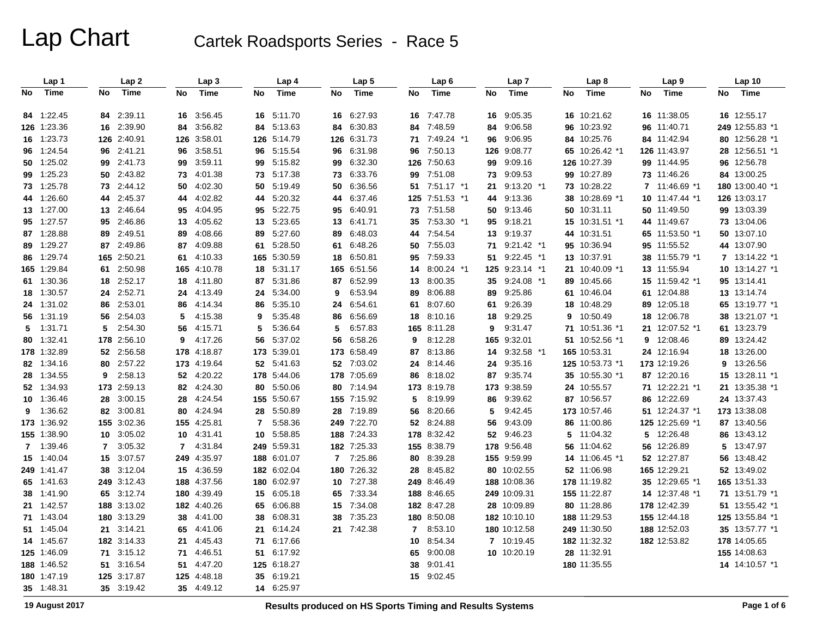|    | Lap 1       |    | Lap <sub>2</sub> |                | Lap <sub>3</sub> |                | Lap 4       |    | Lap <sub>5</sub> |    | Lap <sub>6</sub> |    | Lap <sub>7</sub> |    | Lap <sub>8</sub> |    | Lap <sub>9</sub> |    | Lap <sub>10</sub> |
|----|-------------|----|------------------|----------------|------------------|----------------|-------------|----|------------------|----|------------------|----|------------------|----|------------------|----|------------------|----|-------------------|
| No | <b>Time</b> | No | Time             | No             | <b>Time</b>      | No             | <b>Time</b> | No | <b>Time</b>      | No | <b>Time</b>      | No | Time             | No | <b>Time</b>      | No | Time             | No | Time              |
|    | 84 1:22.45  |    | 84 2:39.11       | 16             | 3:56.45          | 16             | 5:11.70     |    | 16 6:27.93       |    | 16 7:47.78       | 16 | 9:05.35          |    | 16 10:21.62      |    | 16 11:38.05      |    | 16 12:55.17       |
|    | 126 1:23.36 |    | 16 2:39.90       | 84             | 3:56.82          |                | 84 5:13.63  |    | 84 6:30.83       |    | 84 7:48.59       | 84 | 9:06.58          |    | 96 10:23.92      |    | 96 11:40.71      |    | 249 12:55.83 *1   |
|    | 16 1:23.73  |    | 126 2:40.91      |                | 126 3:58.01      |                | 126 5:14.79 |    | 126 6:31.73      |    | 71 7:49.24 *1    | 96 | 9:06.95          |    | 84 10:25.76      |    | 84 11:42.94      |    | 80 12:56.28 *1    |
|    | 96 1:24.54  |    | 96 2:41.21       | 96             | 3:58.51          | 96             | 5:15.54     | 96 | 6:31.98          | 96 | 7:50.13          |    | 126 9:08.77      |    | 65 10:26.42 *1   |    | 126 11:43.97     |    | 28 12:56.51 *1    |
|    | 50 1:25.02  |    | 99 2:41.73       | 99             | 3:59.11          | 99             | 5:15.82     | 99 | 6:32.30          |    | 126 7:50.63      | 99 | 9:09.16          |    | 126 10:27.39     |    | 99 11:44.95      |    | 96 12:56.78       |
|    | 99 1:25.23  |    | 50 2:43.82       | 73             | 4:01.38          | 73             | 5:17.38     |    | 73 6:33.76       |    | 99 7:51.08       |    | 73 9:09.53       |    | 99 10:27.89      |    | 73 11:46.26      |    | 84 13:00.25       |
|    | 73 1:25.78  |    | 73 2:44.12       | 50             | 4:02.30          | 50             | 5:19.49     | 50 | 6:36.56          |    | 51 7:51.17 *1    | 21 | $9:13.20$ *1     | 73 | 10:28.22         | 7  | 11:46.69 *1      |    | 180 13:00.40 *1   |
|    | 44 1:26.60  |    | 44 2:45.37       | 44             | 4:02.82          | 44             | 5:20.32     | 44 | 6:37.46          |    | 125 7:51.53 *1   | 44 | 9:13.36          |    | 38 10:28.69 *1   |    | 10 11:47.44 *1   |    | 126 13:03.17      |
|    | 13 1:27.00  |    | 13 2:46.64       | 95             | 4:04.95          | 95             | 5:22.75     | 95 | 6:40.91          |    | 73 7:51.58       |    | 50 9:13.46       |    | 50 10:31.11      |    | 50 11:49.50      |    | 99 13:03.39       |
|    | 95 1:27.57  |    | 95 2:46.86       | 13             | 4:05.62          | 13             | 5:23.65     |    | 13 6:41.71       |    | 35 7:53.30 *1    | 95 | 9:18.21          |    | 15 10:31.51 *1   |    | 44 11:49.67      |    | 73 13:04.06       |
|    | 87 1:28.88  |    | 89 2:49.51       | 89             | 4:08.66          | 89             | 5:27.60     | 89 | 6:48.03          |    | 44 7:54.54       | 13 | 9:19.37          |    | 44 10:31.51      |    | 65 11:53.50 *1   |    | 50 13:07.10       |
|    | 89 1:29.27  |    | 87 2:49.86       | 87             | 4:09.88          | 61             | 5:28.50     | 61 | 6:48.26          |    | 50 7:55.03       |    | 71 9:21.42 *1    |    | 95 10:36.94      |    | 95 11:55.52      |    | 44 13:07.90       |
|    | 86 1:29.74  |    | 165 2:50.21      | 61             | 4:10.33          | 165            | 5:30.59     | 18 | 6:50.81          |    | 95 7:59.33       |    | 51 9:22.45 *1    |    | 13 10:37.91      |    | 38 11:55.79 *1   |    | 7 13:14.22 *1     |
|    | 165 1:29.84 | 61 | 2:50.98          |                | 165 4:10.78      | 18             | 5.31.17     |    | 165 6:51.56      | 14 | 8:00.24 *1       |    | 125 9:23.14 *1   | 21 | 10:40.09 *1      |    | 13 11:55.94      |    | 10 13:14.27 *1    |
|    | 61 1:30.36  |    | 18 2:52.17       | 18             | 4:11.80          | 87             | 5:31.86     | 87 | 6.52.99          | 13 | 8:00.35          | 35 | $9:24.08$ *1     |    | 89 10:45.66      |    | 15 11:59.42 *1   |    | 95 13:14.41       |
|    | 18 1:30.57  |    | 24 2:52.71       | 24             | 4:13.49          | 24             | 5:34.00     | 9  | 6.53.94          | 89 | 8:06.88          | 89 | 9:25.86          |    | 61 10:46.04      |    | 61 12:04.88      |    | 13 13:14.74       |
|    | 24 1:31.02  |    | 86 2:53.01       | 86             | 4:14.34          | 86             | 5:35.10     |    | 24 6:54.61       |    | 61 8:07.60       |    | 61 9:26.39       |    | 18 10:48.29      |    | 89 12:05.18      |    | 65 13:19.77 *1    |
|    | 56 1:31.19  |    | 56 2:54.03       | 5              | 4:15.38          | 9              | 5:35.48     | 86 | 6:56.69          |    | 18 8:10.16       | 18 | 9:29.25          | 9  | 10:50.49         |    | 18 12:06.78      |    | 38 13:21.07 *1    |
|    | $5$ 1:31.71 |    | 5 2:54.30        | 56             | 4:15.71          | 5              | 5:36.64     | 5  | 6:57.83          |    | 165 8:11.28      | 9  | 9.31.47          |    | 71 10:51.36 *1   |    | 21 12:07.52 *1   |    | 61 13:23.79       |
|    | 80 1:32.41  |    | 178 2:56.10      | 9              | 4:17.26          | 56             | 5:37.02     | 56 | 6:58.26          | 9  | 8:12.28          |    | 165 9:32.01      | 51 | 10:52.56 *1      | 9  | 12:08.46         |    | 89 13:24.42       |
|    | 178 1:32.89 |    | 52 2:56.58       |                | 178 4:18.87      | 173            | 5:39.01     |    | 173 6:58.49      | 87 | 8:13.86          |    | 14 9:32.58 *1    |    | 165 10:53.31     |    | 24 12:16.94      |    | 18 13:26.00       |
|    | 82 1:34.16  |    | 80 2:57.22       |                | 173 4:19.64      |                | 52 5:41.63  |    | 52 7:03.02       |    | 24 8:14.46       |    | 24 9:35.16       |    | 125 10:53.73 *1  |    | 173 12:19.26     |    | 9 13:26.56        |
|    | 28 1:34.55  | 9  | 2:58.13          |                | 52 4:20.22       |                | 178 5:44.06 |    | 178 7:05.69      |    | 86 8:18.02       |    | 87 9:35.74       |    | 35 10:55.30 *1   |    | 87 12:20.16      |    | 15 13:28.11 *1    |
|    | 52 1:34.93  |    | 173 2:59.13      |                | 82 4:24.30       | 80             | 5:50.06     |    | 80 7:14.94       |    | 173 8:19.78      |    | 173 9:38.59      |    | 24 10:55.57      |    | 71 12:22.21 *1   |    | 21 13:35.38 *1    |
|    | 10 1:36.46  |    | 28 3:00.15       | 28             | 4:24.54          |                | 155 5:50.67 |    | 155 7:15.92      | 5  | 8:19.99          | 86 | 9:39.62          |    | 87 10:56.57      |    | 86 12:22.69      |    | 24 13:37.43       |
|    | 9 1:36.62   |    | 82 3:00.81       | 80             | 4:24.94          | 28             | 5:50.89     |    | 28 7:19.89       | 56 | 8:20.66          | 5  | 9:42.45          |    | 173 10:57.46     |    | 51 12:24.37 *1   |    | 173 13:38.08      |
|    | 173 1:36.92 |    | 155 3:02.36      |                | 155 4:25.81      | $\overline{7}$ | 5:58.36     |    | 249 7:22.70      |    | 52 8:24.88       | 56 | 9:43.09          |    | 86 11:00.86      |    | 125 12:25.69 *1  |    | 87 13:40.56       |
|    | 155 1:38.90 |    | 10 3:05.02       | 10             | 4:31.41          | 10             | 5:58.85     |    | 188 7:24.33      |    | 178 8:32.42      |    | 52 9:46.23       |    | 5 11:04.32       | 5  | 12:26.48         |    | 86 13:43.12       |
|    | 7 1:39.46   |    | 7 3:05.32        | $\overline{7}$ | 4:31.84          |                | 249 5:59.31 |    | 182 7:25.33      |    | 155 8:38.79      |    | 178 9:56.48      |    | 56 11:04.62      |    | 56 12:26.89      |    | 5 13:47.97        |
|    | 15 1:40.04  |    | 15 3:07.57       |                | 249 4:35.97      |                | 188 6:01.07 |    | 7 7:25.86        |    | 80 8:39.28       |    | 155 9:59.99      |    | 14 11:06.45 *1   |    | 52 12:27.87      |    | 56 13:48.42       |
|    | 249 1:41.47 |    | 38 3:12.04       | 15             | 4:36.59          |                | 182 6:02.04 |    | 180 7:26.32      |    | 28 8:45.82       |    | 80 10:02.55      |    | 52 11:06.98      |    | 165 12:29.21     |    | 52 13:49.02       |
|    | 65 1:41.63  |    | 249 3:12.43      |                | 188 4:37.56      |                | 180 6:02.97 |    | 10 7:27.38       |    | 249 8:46.49      |    | 188 10:08.36     |    | 178 11:19.82     |    | 35 12:29.65 *1   |    | 165 13:51.33      |
|    | 38 1:41.90  |    | 65 3:12.74       |                | 180 4:39.49      | 15             | 6:05.18     |    | 65 7:33.34       |    | 188 8:46.65      |    | 249 10:09.31     |    | 155 11:22.87     |    | 14 12:37.48 *1   |    | 71 13:51.79 *1    |
|    | 21 1:42.57  |    | 188 3:13.02      |                | 182 4:40.26      | 65             | 6:06.88     |    | 15 7:34.08       |    | 182 8:47.28      |    | 28 10:09.89      |    | 80 11:28.86      |    | 178 12:42.39     |    | 51 13:55.42 *1    |
|    | 71 1:43.04  |    | 180 3:13.29      | 38             | 4:41.00          | 38             | 6:08.31     | 38 | 7:35.23          |    | 180 8:50.08      |    | 182 10:10.10     |    | 188 11:29.53     |    | 155 12:44.18     |    | 125 13:55.84 *1   |
|    | 51 1:45.04  |    | 21 3:14.21       |                | 65 4:41.06       | 21             | 6:14.24     |    | 21 7:42.38       |    | 7 8:53.10        |    | 180 10:12.58     |    | 249 11:30.50     |    | 188 12:52.03     |    | 35 13:57.77 *1    |
|    | 14 1:45.67  |    | 182 3:14.33      | 21             | 4:45.43          | 71             | 6:17.66     |    |                  | 10 | 8:54.34          |    | 7 10:19.45       |    | 182 11:32.32     |    | 182 12:53.82     |    | 178 14:05.65      |
|    | 125 1:46.09 |    | 71 3:15.12       | 71             | 4:46.51          | 51             | 6:17.92     |    |                  | 65 | 9:00.08          |    | 10 10:20.19      |    | 28 11:32.91      |    |                  |    | 155 14:08.63      |
|    | 188 1:46.52 |    | 51 3:16.54       | 51             | 4:47.20          |                | 125 6:18.27 |    |                  | 38 | 9:01.41          |    |                  |    | 180 11:35.55     |    |                  |    | 14 14:10.57 *1    |
|    | 180 1:47.19 |    | 125 3:17.87      |                | 125 4:48.18      | 35             | 6:19.21     |    |                  |    | 15 9:02.45       |    |                  |    |                  |    |                  |    |                   |
|    | 35 1:48.31  |    | 35 3:19.42       |                | 35 4:49.12       |                | 14 6:25.97  |    |                  |    |                  |    |                  |    |                  |    |                  |    |                   |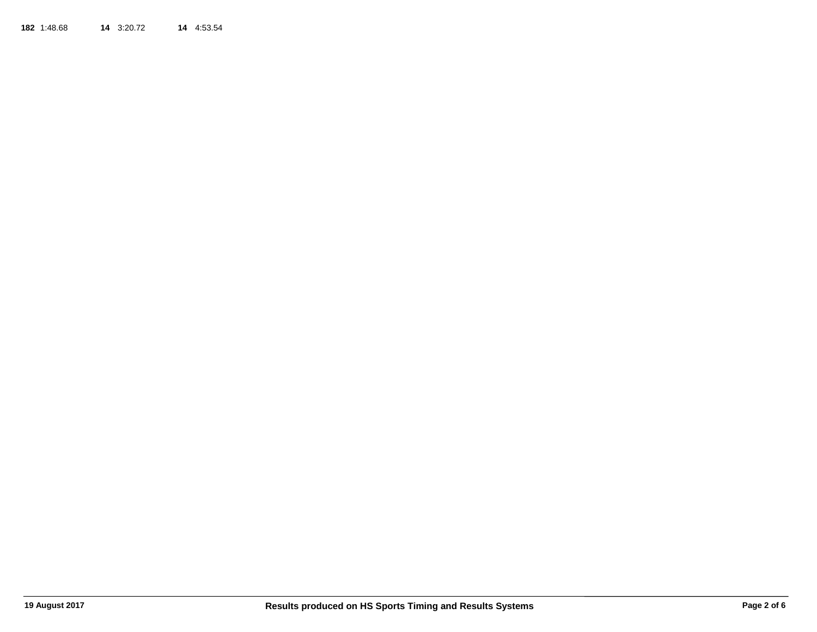**182**1:48.68 **14** 3:20.72 **14** 4:53.54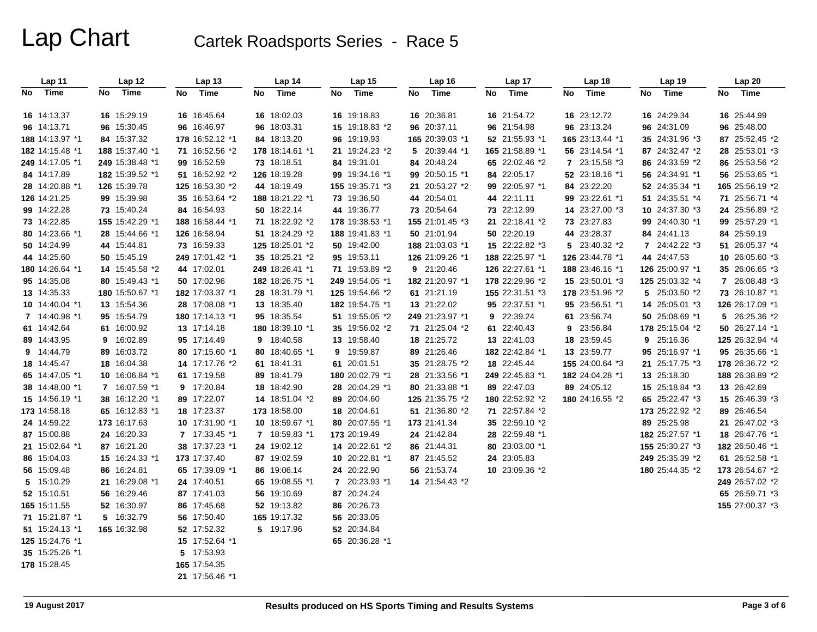| Lap 11          | Lap 12          | Lap 13          | Lap 14            | Lap <sub>15</sub> | Lap 16                 | Lap 17          | Lap 18          | Lap 19          | Lap 20          |
|-----------------|-----------------|-----------------|-------------------|-------------------|------------------------|-----------------|-----------------|-----------------|-----------------|
| Time<br>No      | Time<br>No      | Time<br>No      | Time<br>No        | Time<br>No        | Time<br>No             | Time<br>No      | Time<br>No      | Time<br>No      | Time<br>No      |
|                 |                 |                 |                   |                   |                        |                 |                 |                 |                 |
| 16 14:13.37     | 16 15:29.19     | 16 16:45.64     | 16 18:02.03       | 16 19:18.83       | 16 20:36.81            | 16 21:54.72     | 16 23:12.72     | 16 24:29.34     | 16 25:44.99     |
| 96 14:13.71     | 96 15:30.45     | 96 16:46.97     | 96 18:03.31       | 15 19:18.83 *2    | 96 20:37.11            | 96 21:54.98     | 96 23:13.24     | 96 24:31.09     | 96 25:48.00     |
| 188 14:13.97 *1 | 84 15:37.32     | 178 16:52.12 *1 | 84 18:13.20       | 96 19:19.93       | 165 20:39.03 *1        | 52 21:55.93 *1  | 165 23:13.44 *1 | 35 24:31.96 *3  | 87 25:52.45 *2  |
| 182 14:15.48 *1 | 188 15:37.40 *1 | 71 16:52.56 *2  | 178 18:14.61 *1   | 21 19:24.23 *2    | 5 20:39.44 *1          | 165 21:58.89 *1 | 56 23:14.54 *1  | 87 24:32.47 *2  | 28 25:53.01 *3  |
| 249 14:17.05 *1 | 249 15:38.48 *1 | 99 16:52.59     | 73 18:18.51       | 84 19:31.01       | 84 20:48.24            | 65 22:02.46 *2  | 7 23:15.58 *3   | 86 24:33.59 *2  | 86 25:53.56 *2  |
| 84 14:17.89     | 182 15:39.52 *1 | 51 16:52.92 *2  | 126 18:19.28      | 99 19:34.16 *1    | 99 20:50.15 *1         | 84 22:05.17     | 52 23:18.16 *1  | 56 24:34.91 *1  | 56 25:53.65 *1  |
| 28 14:20.88 *1  | 126 15:39.78    | 125 16:53.30 *2 | 44 18:19.49       | 155 19:35.71 *3   | 21 20:53.27 *2         | 99 22:05.97 *1  | 84 23:22.20     | 52 24:35.34 *1  | 165 25:56.19 *2 |
| 126 14:21.25    | 99 15:39.98     | 35 16:53.64 *2  | 188 18:21.22 *1   | 73 19:36.50       | 44 20:54.01            | 44 22:11.11     | 99 23:22.61 *1  | 51 24:35.51 *4  | 71 25:56.71 *4  |
| 99 14:22.28     | 73 15:40.24     | 84 16:54.93     | 50 18:22.14       | 44 19:36.77       | 73 20:54.64            | 73 22:12.99     | 14 23:27.00 *3  | 10 24:37.30 *3  | 24 25:56.89 *2  |
| 73 14:22.85     | 155 15:42.29 *1 | 188 16:58.44 *1 | 71 18:22.92 *2    | 178 19:38.53 *1   | 155 21:01.45 *3        | 21 22:18.41 *2  | 73 23:27.83     | 99 24:40.30 *1  | 99 25:57.29 *1  |
| 80 14:23.66 *1  | 28 15:44.66 *1  | 126 16:58.94    | 51 18:24.29 *2    | 188 19:41.83 *1   | 50 21:01.94            | 50 22:20.19     | 44 23:28.37     | 84 24:41.13     | 84 25:59.19     |
| 50 14:24.99     | 44 15:44.81     | 73 16:59.33     | 125 18:25.01 *2   | 50 19:42.00       | 188 21:03.03 *1        | 15 22:22.82 *3  | 5 23:40.32 *2   | 7 24:42.22 *3   | 51 26:05.37 *4  |
| 44 14:25.60     | 50 15:45.19     | 249 17:01.42 *1 | 35 18:25.21 *2    | 95 19:53.11       | 126 21:09.26 *1        | 188 22:25.97 *1 | 126 23:44.78 *1 | 44 24:47.53     | 10 26:05.60 *3  |
| 180 14:26.64 *1 | 14 15:45.58 *2  | 44 17:02.01     | 249 18:26.41 *1   | 71 19:53.89 *2    | 9 21:20.46             | 126 22:27.61 *1 | 188 23:46.16 *1 | 126 25:00.97 *1 | 35 26:06.65 *3  |
| 95 14:35.08     | 80 15:49.43 *1  | 50 17:02.96     | 182 18:26.75 *1   | 249 19:54.05 *1   | 182 21:20.97 *1        | 178 22:29.96 *2 | 15 23:50.01 *3  | 125 25:03.32 *4 | 7 26:08.48 *3   |
| 13 14:35.33     | 180 15:50.67 *1 | 182 17:03.37 *1 | 28 18:31.79 *1    | 125 19:54.66 *2   | 61 21:21.19            | 155 22:31.51 *3 | 178 23:51.96 *2 | 5 25:03.50 *2   | 73 26:10.87 *1  |
| 10 14:40.04 *1  | 13 15:54.36     | 28 17:08.08 *1  | 13 18:35.40       | 182 19:54.75 *1   | 13 21:22.02            | 95 22:37.51 *1  | 95 23:56.51 *1  | 14 25:05.01 *3  | 126 26:17.09 *1 |
| 7 14:40.98 *1   | 95 15:54.79     | 180 17:14.13 *1 | 95 18:35.54       | 51 19:55.05 *2    | <b>249</b> 21:23.97 *1 | 9 22:39.24      | 61 23:56.74     | 50 25:08.69 *1  | 5 26:25.36 *2   |
| 61 14:42.64     | 61 16:00.92     | 13 17:14.18     | 180 18:39.10 *1   | 35 19:56.02 *2    | 71 21:25.04 *2         | 61 22:40.43     | 9 23:56.84      | 178 25:15.04 *2 | 50 26:27.14 *1  |
| 89 14:43.95     | 9 16:02.89      | 95 17:14.49     | 18:40.58<br>9     | 13 19:58.40       | 18 21:25.72            | 13 22:41.03     | 18 23:59.45     | 9 25:16.36      | 125 26:32.94 *4 |
| 9 14:44.79      | 89 16:03.72     | 80 17:15.60 *1  | 18:40.65 *1<br>80 | 9 19:59.87        | 89 21:26.46            | 182 22:42.84 *1 | 13 23:59.77     | 95 25:16.97 *1  | 95 26:35.66 *1  |
| 18 14:45.47     | 18 16:04.38     | 14 17:17.76 *2  | 61 18:41.31       | 61 20:01.51       | 35 21:28.75 *2         | 18 22:45.44     | 155 24:00.64 *3 | 21 25:17.75 *3  | 178 26:36.72 *2 |
| 65 14:47.05 *1  | 10 16:06.84 *1  | 61 17:19.58     | 89 18:41.79       | 180 20:02.79 *1   | 28 21:33.56 *1         | 249 22:45.63 *1 | 182 24:04.28 *1 | 13 25:18.30     | 188 26:38.89 *2 |
| 38 14:48.00 *1  | 7 16:07.59 *1   | 9 17:20.84      | 18 18:42.90       | 28 20:04.29 *1    | 80 21:33.88 *1         | 89 22:47.03     | 89 24:05.12     | 15 25:18.84 *3  | 13 26:42.69     |
| 15 14:56.19 *1  | 38 16:12.20 *1  | 89 17:22.07     | 14 18:51.04 *2    | 89 20:04.60       | 125 21:35.75 *2        | 180 22:52.92 *2 | 180 24:16.55 *2 | 65 25:22.47 *3  | 15 26:46.39 *3  |
| 173 14:58.18    | 65 16:12.83 *1  | 18 17:23.37     | 173 18:58.00      | 18 20:04.61       | 51 21:36.80 *2         | 71 22:57.84 *2  |                 | 173 25:22.92 *2 | 89 26:46.54     |
| 24 14:59.22     | 173 16:17.63    | 10 17:31.90 *1  | 10 18:59.67 *1    | 80 20:07.55 *1    | 173 21:41.34           | 35 22:59.10 *2  |                 | 89 25:25.98     | 21 26:47.02 *3  |
| 87 15:00.88     | 24 16:20.33     | 7 17:33.45 *1   | 7 18:59.83 *1     | 173 20:19.49      | 24 21:42.84            | 28 22:59.48 *1  |                 | 182 25:27.57 *1 | 18 26:47.76 *1  |
| 21 15:02.64 *1  | 87 16:21.20     | 38 17:37.23 *1  | 24 19:02.12       | 14 20:22.61 *2    | 86 21:44.31            | 80 23:03.00 *1  |                 | 155 25:30.27 *3 | 182 26:50.46 *1 |
| 86 15:04.03     | 15 16:24.33 *1  | 173 17:37.40    | 87 19:02.59       | 10 20:22.81 *1    | 87 21:45.52            | 24 23:05.83     |                 | 249 25:35.39 *2 | 61 26:52.58 *1  |
| 56 15:09.48     | 86 16:24.81     | 65 17:39.09 *1  | 86 19:06.14       | 24 20:22.90       | 56 21:53.74            | 10 23:09.36 *2  |                 | 180 25:44.35 *2 | 173 26:54.67 *2 |
| 5 15:10.29      | 21 16:29.08 *1  | 24 17:40.51     | 19:08.55 *1<br>65 | 7 20:23.93 *1     | 14 21:54.43 *2         |                 |                 |                 | 249 26:57.02 *2 |
| 52 15:10.51     | 56 16:29.46     | 87 17:41.03     | 56 19:10.69       | 87 20:24.24       |                        |                 |                 |                 | 65 26:59.71 *3  |
| 165 15:11.55    | 52 16:30.97     | 86 17:45.68     | 52 19:13.82       | 86 20:26.73       |                        |                 |                 |                 | 155 27:00.37 *3 |
| 71 15:21.87 *1  | 5 16:32.79      | 56 17:50.40     | 165 19:17.32      | 56 20:33.05       |                        |                 |                 |                 |                 |
| 51 15:24.13 *1  | 165 16:32.98    | 52 17:52.32     | 5 19:17.96        | 52 20:34.84       |                        |                 |                 |                 |                 |
| 125 15:24.76 *1 |                 | 15 17:52.64 *1  |                   | 65 20:36.28 *1    |                        |                 |                 |                 |                 |
| 35 15:25.26 *1  |                 | 5 17:53.93      |                   |                   |                        |                 |                 |                 |                 |
| 178 15:28.45    |                 | 165 17:54.35    |                   |                   |                        |                 |                 |                 |                 |
|                 |                 | 21 17:56.46 *1  |                   |                   |                        |                 |                 |                 |                 |
|                 |                 |                 |                   |                   |                        |                 |                 |                 |                 |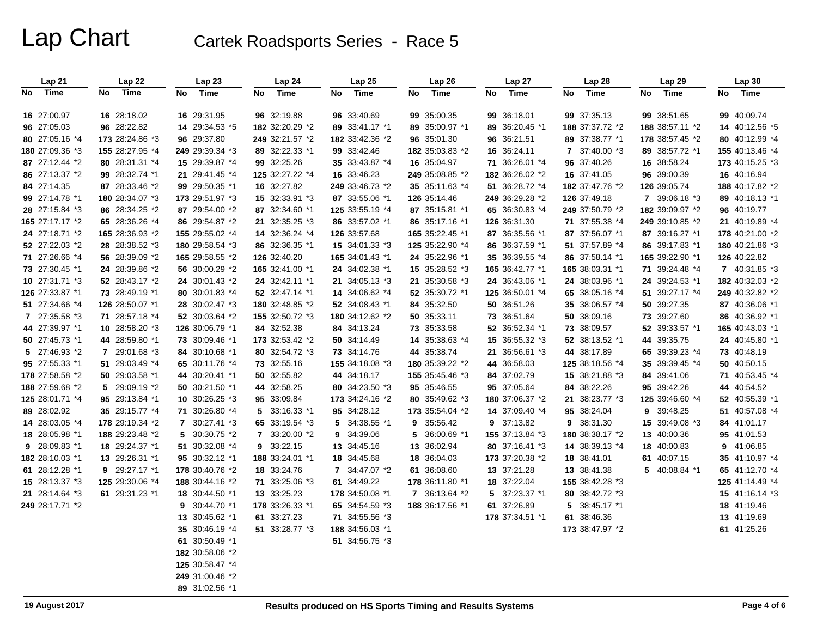| Lap 21          | Lap 22          | Lap23            | Lap 24          | Lap 25          | Lap 26          | Lap 27          | Lap 28          | Lap 29          | Lap 30          |
|-----------------|-----------------|------------------|-----------------|-----------------|-----------------|-----------------|-----------------|-----------------|-----------------|
| No<br>Time      | Time<br>No      | Time<br>No       | Time<br>No      | Time<br>No      | Time<br>No      | Time<br>No      | Time<br>No      | Time<br>No      | Time<br>No      |
| 16 27:00.97     | 16 28:18.02     | 16 29:31.95      | 96 32:19.88     | 96 33:40.69     | 99 35:00.35     | 99 36:18.01     | 99 37:35.13     | 99 38:51.65     | 99 40:09.74     |
| 96 27:05.03     | 96 28:22.82     | 14 29:34.53 *5   | 182 32:20.29 *2 | 89 33:41.17 *1  | 89 35:00.97 *1  | 89 36:20.45 *1  | 188 37:37.72 *2 | 188 38:57.11 *2 | 14 40:12.56 *5  |
| 80 27:05.16 *4  | 173 28:24.86 *3 | 96 29:37.80      | 249 32:21.57 *2 | 182 33:42.36 *2 | 96 35:01.30     | 96 36:21.51     | 89 37:38.77 *1  | 178 38:57.45 *2 | 80 40:12.99 *4  |
| 180 27:09.36 *3 | 155 28:27.95 *4 | 249 29:39.34 *3  | 89 32:22.33 *1  | 99 33:42.46     | 182 35:03.83 *2 | 16 36:24.11     | 7 37:40.00 *3   | 89 38:57.72 *1  | 155 40:13.46 *4 |
| 87 27:12.44 *2  | 80 28:31.31 *4  | 15 29:39.87 *4   | 99 32:25.26     | 35 33:43.87 *4  | 16 35:04.97     | 71 36:26.01 *4  | 96 37:40.26     | 16 38:58.24     | 173 40:15.25 *3 |
| 86 27:13.37 *2  | 99 28:32.74 *1  | 21 29:41.45 *4   | 125 32:27.22 *4 | 16 33:46.23     | 249 35:08.85 *2 | 182 36:26.02 *2 | 16 37:41.05     | 96 39:00.39     | 16 40:16.94     |
| 84 27:14.35     | 87 28:33.46 *2  | 99 29:50.35 *1   | 16 32:27.82     | 249 33:46.73 *2 | 35 35:11.63 *4  | 51 36:28.72 *4  | 182 37:47.76 *2 | 126 39:05.74    | 188 40:17.82 *2 |
| 99 27:14.78 *1  | 180 28:34.07 *3 | 173 29:51.97 *3  | 15 32:33.91 *3  | 87 33:55.06 *1  | 126 35:14.46    | 249 36:29.28 *2 | 126 37:49.18    | 7 39:06.18 *3   | 89 40:18.13 *1  |
| 28 27:15.84 *3  | 86 28:34.25 *2  | 87 29:54.00 *2   | 87 32:34.60 *1  | 125 33:55.19 *4 | 87 35:15.81 *1  | 65 36:30.83 *4  | 249 37:50.79 *2 | 182 39:09.97 *2 | 96 40:19.77     |
| 165 27:17.17 *2 | 65 28:36.26 *4  | 86 29:54.87 *2   | 21 32:35.25 *3  | 86 33:57.02 *1  | 86 35:17.16 *1  | 126 36:31.30    | 71 37:55.38 *4  | 249 39:10.85 *2 | 21 40:19.89 *4  |
| 24 27:18.71 *2  | 165 28:36.93 *2 | 155 29:55.02 *4  | 14 32:36.24 *4  | 126 33:57.68    | 165 35:22.45 *1 | 87 36:35.56 *1  | 87 37:56.07 *1  | 87 39:16.27 *1  | 178 40:21.00 *2 |
| 52 27:22.03 *2  | 28 28:38.52 *3  | 180 29:58.54 *3  | 86 32:36.35 *1  | 15 34:01.33 *3  | 125 35:22.90 *4 | 86 36:37.59 *1  | 51 37:57.89 *4  | 86 39:17.83 *1  | 180 40:21.86 *3 |
| 71 27:26.66 *4  | 56 28:39.09 *2  | 165 29:58.55 *2  | 126 32:40.20    | 165 34:01.43 *1 | 24 35:22.96 *1  | 35 36:39.55 *4  | 86 37:58.14 *1  | 165 39:22.90 *1 | 126 40:22.82    |
| 73 27:30.45 *1  | 24 28:39.86 *2  | 56 30:00.29 *2   | 165 32:41.00 *1 | 24 34:02.38 *1  | 15 35:28.52 *3  | 165 36:42.77 *1 | 165 38:03.31 *1 | 71 39:24.48 *4  | 7 40:31.85 *3   |
| 10 27:31.71 *3  | 52 28:43.17 *2  | 24 30:01.43 *2   | 24 32:42.11 *1  | 21 34:05.13 *3  | 21 35:30.58 *3  | 24 36:43.06 *1  | 24 38:03.96 *1  | 24 39:24.53 *1  | 182 40:32.03 *2 |
| 126 27:33.87 *1 | 73 28:49.19 *1  | 80 30:01.83 *4   | 52 32:47.14 *1  | 14 34:06.62 *4  | 52 35:30.72 *1  | 125 36:50.01 *4 | 65 38:05.16 *4  | 51 39:27.17 *4  | 249 40:32.82 *2 |
| 51 27:34.66 *4  | 126 28:50.07 *1 | 28 30:02.47 *3   | 180 32:48.85 *2 | 52 34:08.43 *1  | 84 35:32.50     | 50 36:51.26     | 35 38:06.57 *4  | 50 39:27.35     | 87 40:36.06 *1  |
| 7 27:35.58 *3   | 71 28:57.18 *4  | 52 30:03.64 *2   | 155 32:50.72 *3 | 180 34:12.62 *2 | 50 35:33.11     | 73 36:51.64     | 50 38:09.16     | 73 39:27.60     | 86 40:36.92 *1  |
| 44 27:39.97 *1  | 10 28:58.20 *3  | 126 30:06.79 *1  | 84 32:52.38     | 84 34:13.24     | 73 35:33.58     | 52 36:52.34 *1  | 73 38:09.57     | 52 39:33.57 *1  | 165 40:43.03 *1 |
| 50 27:45.73 *1  | 44 28:59.80 *1  | 73 30:09.46 *1   | 173 32:53.42 *2 | 50 34:14.49     | 14 35:38.63 *4  | 15 36:55.32 *3  | 52 38:13.52 *1  | 44 39:35.75     | 24 40:45.80 *1  |
| 5 27:46.93 *2   | 7 29:01.68 *3   | 84 30:10.68 *1   | 80 32:54.72 *3  | 73 34:14.76     | 44 35:38.74     | 21 36:56.61 *3  | 44 38:17.89     | 65 39:39.23 *4  | 73 40:48.19     |
| 95 27:55.33 *1  | 51 29:03.49 *4  | 65 30:11.76 *4   | 73 32:55.16     | 155 34:18.08 *3 | 180 35:39.22 *2 | 44 36:58.03     | 125 38:18.56 *4 | 35 39:39.45 *4  | 50 40:50.15     |
| 178 27:58.58 *2 | 50 29:03.58 *1  | 44 30:20.41 *1   | 50 32:55.82     | 44 34:18.17     | 155 35:45.46 *3 | 84 37:02.79     | 15 38:21.88 *3  | 84 39:41.06     | 71 40:53.45 *4  |
| 188 27:59.68 *2 | 5 29:09.19 *2   | 50 30:21.50 *1   | 44 32:58.25     | 80 34:23.50 *3  | 95 35:46.55     | 95 37:05.64     | 84 38:22.26     | 95 39:42.26     | 44 40:54.52     |
| 125 28:01.71 *4 | 95 29:13.84 *1  | 10 30:26.25 *3   | 95 33:09.84     | 173 34:24.16 *2 | 80 35:49.62 *3  | 180 37:06.37 *2 | 21 38:23.77 *3  | 125 39:46.60 *4 | 52 40:55.39 *1  |
| 89 28:02.92     | 35 29:15.77 *4  | 71 30:26.80 *4   | 5 33:16.33 *1   | 95 34:28.12     | 173 35:54.04 *2 | 14 37:09.40 *4  | 95 38:24.04     | 39:48.25<br>9   | 51 40:57.08 *4  |
| 14 28:03.05 *4  | 178 29:19.34 *2 | 7 30:27.41 *3    | 65 33:19.54 *3  | 5 34:38.55 *1   | 9 35:56.42      | 9 37:13.82      | 9 38:31.30      | 15 39:49.08 *3  | 84 41:01.17     |
| 18 28:05.98 *1  | 188 29:23.48 *2 | 5 30:30.75 *2    | 7 33:20.00 *2   | 9 34:39.06      | 5 36:00.69 *1   | 155 37:13.84 *3 | 180 38:38.17 *2 | 13 40:00.36     | 95 41:01.53     |
| 9 28:09.83 *1   | 18 29:24.37 *1  | 51 30:32.08 *4   | 33:22.15<br>9   | 13 34:45.16     | 13 36:02.94     | 80 37:16.41 *3  | 14 38:39.13 *4  | 18 40:00.83     | 9 41:06.85      |
| 182 28:10.03 *1 | 13 29:26.31 *1  | 95 30:32.12 *1   | 188 33:24.01 *1 | 18 34:45.68     | 18 36:04.03     | 173 37:20.38 *2 | 18 38:41.01     | 61 40:07.15     | 35 41:10.97 *4  |
| 61 28:12.28 *1  | 9 29:27.17 *1   | 178 30:40.76 *2  | 18 33:24.76     | 7 34:47.07 *2   | 61 36:08.60     | 13 37:21.28     | 13 38:41.38     | 5 40:08.84 *1   | 65 41:12.70 *4  |
| 15 28:13.37 *3  | 125 29:30.06 *4 | 188 30:44.16 *2  | 71 33:25.06 *3  | 61 34:49.22     | 178 36:11.80 *1 | 18 37:22.04     | 155 38:42.28 *3 |                 | 125 41:14.49 *4 |
| 21 28:14.64 *3  | 61 29:31.23 *1  | 18 30:44.50 *1   | 13 33:25.23     | 178 34:50.08 *1 | 7 36:13.64 *2   | 5 37:23.37 *1   | 80 38:42.72 *3  |                 | 15 41:16.14 *3  |
| 249 28:17.71 *2 |                 | 30:44.70 *1<br>9 | 178 33:26.33 *1 | 65 34:54.59 *3  | 188 36:17.56 *1 | 61 37:26.89     | 5 38:45.17 *1   |                 | 18 41:19.46     |
|                 |                 | 13 30:45.62 *1   | 61 33:27.23     | 71 34:55.56 *3  |                 | 178 37:34.51 *1 | 61 38:46.36     |                 | 13 41:19.69     |
|                 |                 | 35 30:46.19 *4   | 51 33:28.77 *3  | 188 34:56.03 *1 |                 |                 | 173 38:47.97 *2 |                 | 61 41:25.26     |
|                 |                 | 61 30:50.49 *1   |                 | 51 34:56.75 *3  |                 |                 |                 |                 |                 |
|                 |                 | 182 30:58.06 *2  |                 |                 |                 |                 |                 |                 |                 |
|                 |                 | 125 30:58.47 *4  |                 |                 |                 |                 |                 |                 |                 |
|                 |                 | 249 31:00.46 *2  |                 |                 |                 |                 |                 |                 |                 |
|                 |                 | 89 31:02.56 *1   |                 |                 |                 |                 |                 |                 |                 |
|                 |                 |                  |                 |                 |                 |                 |                 |                 |                 |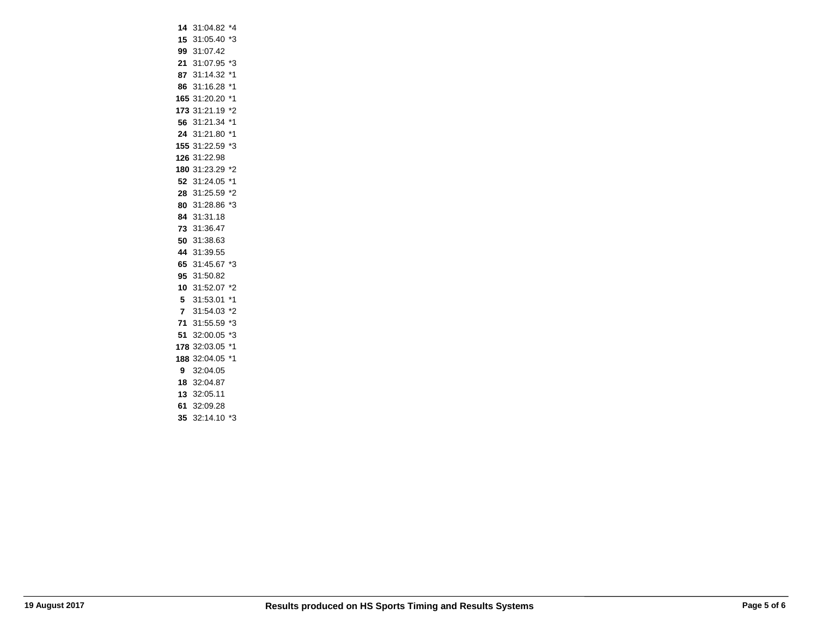|                | 14 31:04.82     | *4 |
|----------------|-----------------|----|
|                | 15 31:05.40 *3  |    |
|                | 99 31:07.42     |    |
|                | 21 31:07.95 *3  |    |
|                | 87 31:14.32 *1  |    |
| 86             | 31:16.28        | *1 |
|                | 165 31:20.20 *1 |    |
|                | 173 31:21.19 *2 |    |
|                | 56 31:21.34     | *1 |
| 24             | 31:21.80        | *1 |
|                | 155 31:22.59    | *3 |
|                | 126 31:22.98    |    |
|                | 180 31:23.29 *2 |    |
|                | 52 31:24.05     | *1 |
|                | 28 31:25.59     | *2 |
|                | 80 31:28.86 *3  |    |
|                | 84 31:31.18     |    |
|                | 73 31:36.47     |    |
| 50             | 31:38.63        |    |
|                | 44 31:39.55     |    |
|                | 65 31:45.67     | *3 |
|                | 95 31:50.82     |    |
| 10             | 31:52.07        | *2 |
| 5              | 31:53.01        | *1 |
| $\overline{7}$ | 31:54.03 *2     |    |
|                | 71 31:55.59 *3  |    |
| 51             | 32:00.05        | *3 |
|                | 178 32:03.05    | *1 |
|                | 188 32:04.05 *1 |    |
|                | 9 32:04.05      |    |
|                | 18 32:04.87     |    |
| 13             | 32:05.11        |    |
| 61             | 32:09.28        |    |
| 35             | 32:14.10        |    |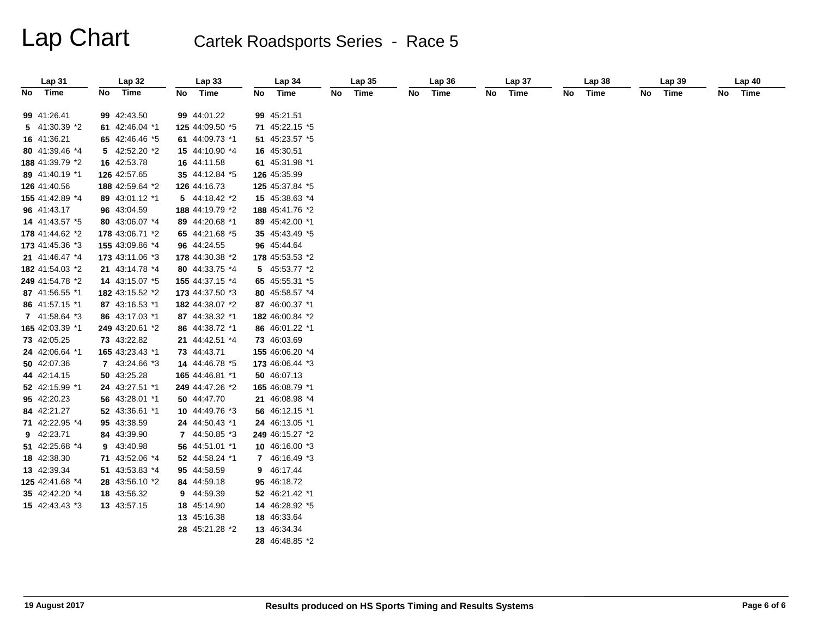| Lap31           |     | Lap 32          | Lap33             |    | Lap 34          | Lap35   | Lap 36  |    | Lap 37 |    | Lap38 |    | Lap 39 | Lap40   |
|-----------------|-----|-----------------|-------------------|----|-----------------|---------|---------|----|--------|----|-------|----|--------|---------|
| No Time         | No. | Time            | No Time           | No | Time            | No Time | No Time | No | Time   | No | Time  | No | Time   | No Time |
| 99 41:26.41     |     | 99 42:43.50     | 99 44:01.22       |    | 99 45:21.51     |         |         |    |        |    |       |    |        |         |
| 5 41:30.39 *2   |     | 61 42:46.04 *1  | 125 44:09.50 *5   |    | 71 45:22.15 *5  |         |         |    |        |    |       |    |        |         |
| 16 41:36.21     |     | 65 42:46.46 *5  | 61 44:09.73 *1    |    | 51 45:23.57 *5  |         |         |    |        |    |       |    |        |         |
| 80 41:39.46 *4  |     | 5 42:52.20 *2   | 15 44:10.90 *4    |    | 16 45:30.51     |         |         |    |        |    |       |    |        |         |
| 188 41:39.79 *2 |     | 16 42:53.78     | 16 44:11.58       |    | 61 45:31.98 *1  |         |         |    |        |    |       |    |        |         |
| 89 41:40.19 *1  |     | 126 42:57.65    | 35 44:12.84 *5    |    | 126 45:35.99    |         |         |    |        |    |       |    |        |         |
| 126 41:40.56    |     | 188 42:59.64 *2 | 126 44:16.73      |    | 125 45:37.84 *5 |         |         |    |        |    |       |    |        |         |
| 155 41:42.89 *4 |     | 89 43:01.12 *1  | $5$ 44:18.42 $*2$ |    | 15 45:38.63 *4  |         |         |    |        |    |       |    |        |         |
| 96 41:43.17     |     | 96 43:04.59     | 188 44:19.79 *2   |    | 188 45:41.76 *2 |         |         |    |        |    |       |    |        |         |
| 14 41:43.57 *5  |     | 80 43:06.07 *4  | 89 44:20.68 *1    |    | 89 45:42.00 *1  |         |         |    |        |    |       |    |        |         |
| 178 41:44.62 *2 |     | 178 43:06.71 *2 | 65 44:21.68 *5    |    | 35 45:43.49 *5  |         |         |    |        |    |       |    |        |         |
| 173 41:45.36 *3 |     | 155 43:09.86 *4 | 96 44:24.55       |    | 96 45:44.64     |         |         |    |        |    |       |    |        |         |
| 21 41:46.47 *4  |     | 173 43:11.06 *3 | 178 44:30.38 *2   |    | 178 45:53.53 *2 |         |         |    |        |    |       |    |        |         |
| 182 41:54.03 *2 |     | 21 43:14.78 *4  | 80 44:33.75 *4    |    | 5 45:53.77 *2   |         |         |    |        |    |       |    |        |         |
| 249 41:54.78 *2 |     | 14 43:15.07 *5  | 155 44:37.15 *4   |    | 65 45:55.31 *5  |         |         |    |        |    |       |    |        |         |
| 87 41:56.55 *1  |     | 182 43:15.52 *2 | 173 44:37.50 *3   |    | 80 45:58.57 *4  |         |         |    |        |    |       |    |        |         |
| 86 41:57.15 *1  |     | 87 43:16.53 *1  | 182 44:38.07 *2   |    | 87 46:00.37 *1  |         |         |    |        |    |       |    |        |         |
| 7 41:58.64 *3   |     | 86 43:17.03 *1  | 87 44:38.32 *1    |    | 182 46:00.84 *2 |         |         |    |        |    |       |    |        |         |
| 165 42:03.39 *1 |     | 249 43:20.61 *2 | 86 44:38.72 *1    |    | 86 46:01.22 *1  |         |         |    |        |    |       |    |        |         |
| 73 42:05.25     |     | 73 43:22.82     | 21 44:42.51 *4    |    | 73 46:03.69     |         |         |    |        |    |       |    |        |         |
| 24 42:06.64 *1  |     | 165 43:23.43 *1 | 73 44:43.71       |    | 155 46:06.20 *4 |         |         |    |        |    |       |    |        |         |
| 50 42:07.36     |     | 7 43:24.66 *3   | 14 44:46.78 *5    |    | 173 46:06.44 *3 |         |         |    |        |    |       |    |        |         |
| 44 42:14.15     |     | 50 43:25.28     | 165 44:46.81 *1   |    | 50 46:07.13     |         |         |    |        |    |       |    |        |         |
| 52 42:15.99 *1  |     | 24 43:27.51 *1  | 249 44:47.26 *2   |    | 165 46:08.79 *1 |         |         |    |        |    |       |    |        |         |
| 95 42:20.23     |     | 56 43:28.01 *1  | 50 44:47.70       |    | 21 46:08.98 *4  |         |         |    |        |    |       |    |        |         |
| 84 42:21.27     |     | 52 43:36.61 *1  | 10 44:49.76 *3    |    | 56 46:12.15 *1  |         |         |    |        |    |       |    |        |         |
| 71 42:22.95 *4  |     | 95 43:38.59     | 24 44:50.43 *1    |    | 24 46:13.05 *1  |         |         |    |        |    |       |    |        |         |
| 9 42:23.71      |     | 84 43:39.90     | 7 44:50.85 *3     |    | 249 46:15.27 *2 |         |         |    |        |    |       |    |        |         |
| 51 42:25.68 *4  |     | 9 43:40.98      | 56 44:51.01 *1    |    | 10 46:16.00 *3  |         |         |    |        |    |       |    |        |         |
| 18 42:38.30     |     | 71 43:52.06 *4  | 52 44:58.24 *1    |    | $746:16.49*3$   |         |         |    |        |    |       |    |        |         |
| 13 42:39.34     |     | 51 43:53.83 *4  | 95 44:58.59       |    | 9 46:17.44      |         |         |    |        |    |       |    |        |         |
| 125 42:41.68 *4 |     | 28 43:56.10 *2  | 84 44:59.18       |    | 95 46:18.72     |         |         |    |        |    |       |    |        |         |
| 35 42:42.20 *4  |     | 18 43:56.32     | 9 44:59.39        |    | 52 46:21.42 *1  |         |         |    |        |    |       |    |        |         |
| 15 42:43.43 *3  |     | 13 43:57.15     | 18 45:14.90       |    | 14 46:28.92 *5  |         |         |    |        |    |       |    |        |         |
|                 |     |                 | 13 45:16.38       |    | 18 46:33.64     |         |         |    |        |    |       |    |        |         |
|                 |     |                 | 28 45:21.28 *2    |    | 13 46:34.34     |         |         |    |        |    |       |    |        |         |
|                 |     |                 |                   |    | 28 46:48.85 *2  |         |         |    |        |    |       |    |        |         |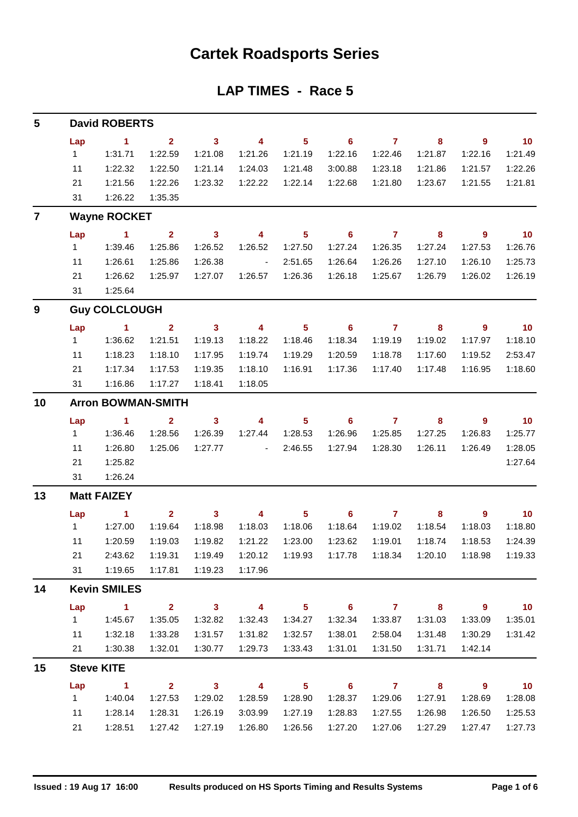## **Cartek Roadsports Series**

### **LAP TIMES - Race 5**

| 5              |                           | <b>David ROBERTS</b> |                         |                            |                          |                 |                            |                |                            |                          |                 |  |  |  |
|----------------|---------------------------|----------------------|-------------------------|----------------------------|--------------------------|-----------------|----------------------------|----------------|----------------------------|--------------------------|-----------------|--|--|--|
|                | Lap                       | $\sim$ 1             | $\overline{2}$          | $\overline{\mathbf{3}}$    | $\overline{4}$           | 5 <sub>5</sub>  | $\overline{\phantom{0}}$ 6 | $\overline{7}$ | 8                          | 9                        | 10              |  |  |  |
|                | 1                         | 1:31.71              | 1:22.59                 | 1:21.08                    | 1:21.26                  | 1:21.19         | 1:22.16                    | 1:22.46        | 1:21.87                    | 1:22.16                  | 1:21.49         |  |  |  |
|                | 11                        | 1:22.32              | 1:22.50                 | 1:21.14                    | 1:24.03                  | 1:21.48         | 3:00.88                    | 1:23.18        | 1:21.86                    | 1:21.57                  | 1:22.26         |  |  |  |
|                | 21                        | 1:21.56              | 1:22.26                 | 1:23.32                    | 1:22.22                  | 1:22.14         | 1:22.68                    | 1:21.80        | 1:23.67                    | 1:21.55                  | 1:21.81         |  |  |  |
|                | 31                        | 1:26.22              | 1:35.35                 |                            |                          |                 |                            |                |                            |                          |                 |  |  |  |
| $\overline{7}$ |                           | <b>Wayne ROCKET</b>  |                         |                            |                          |                 |                            |                |                            |                          |                 |  |  |  |
|                | Lap                       | $\sim$ 1             | $\mathbf{2}$            | $\overline{\mathbf{3}}$    | $\overline{4}$           | 5 <sup>5</sup>  | $\overline{\phantom{0}}$ 6 | $\overline{7}$ | 8                          | $\overline{\phantom{a}}$ | $\overline{10}$ |  |  |  |
|                | 1                         | 1:39.46              | 1:25.86                 | 1:26.52                    | 1:26.52                  | 1:27.50         | 1:27.24                    | 1:26.35        | 1:27.24                    | 1:27.53                  | 1:26.76         |  |  |  |
|                | 11                        | 1:26.61              | 1:25.86                 | 1:26.38                    | $\sim$ $-$               | 2:51.65         | 1:26.64                    | 1:26.26        | 1:27.10                    | 1:26.10                  | 1:25.73         |  |  |  |
|                | 21                        | 1:26.62              | 1:25.97                 | 1:27.07                    | 1:26.57                  | 1:26.36         | 1:26.18                    | 1:25.67        | 1:26.79                    | 1:26.02                  | 1:26.19         |  |  |  |
|                | 31                        | 1:25.64              |                         |                            |                          |                 |                            |                |                            |                          |                 |  |  |  |
| 9              | <b>Guy COLCLOUGH</b>      |                      |                         |                            |                          |                 |                            |                |                            |                          |                 |  |  |  |
|                | Lap                       | $\sim$ 1             | $\mathbf{2}$            | $\overline{\mathbf{3}}$    | $\sim$ 4                 | 5 <sub>5</sub>  | $\overline{\phantom{0}}$ 6 | $\overline{7}$ | 8                          | 9                        | $\overline{10}$ |  |  |  |
|                | 1                         | 1:36.62              | 1:21.51                 | 1:19.13                    | 1:18.22                  | 1:18.46         | 1:18.34                    | 1:19.19        | 1:19.02                    | 1:17.97                  | 1:18.10         |  |  |  |
|                | 11                        | 1:18.23              | 1:18.10                 | 1:17.95                    | 1:19.74                  | 1:19.29         | 1:20.59                    | 1:18.78        | 1:17.60                    | 1:19.52                  | 2:53.47         |  |  |  |
|                | 21                        | 1:17.34              | 1:17.53                 | 1:19.35                    | 1:18.10                  | 1:16.91         | 1:17.36                    | 1:17.40        | 1:17.48                    | 1:16.95                  | 1:18.60         |  |  |  |
|                | 31                        | 1:16.86              | 1:17.27                 | 1:18.41                    | 1:18.05                  |                 |                            |                |                            |                          |                 |  |  |  |
| 10             | <b>Arron BOWMAN-SMITH</b> |                      |                         |                            |                          |                 |                            |                |                            |                          |                 |  |  |  |
|                | Lap                       | $\sim$ 1             | $\mathbf{2}$            | $\mathbf{3}$               | $\overline{4}$           | 5 <sub>1</sub>  | $\overline{\phantom{a}}$ 6 | $\overline{7}$ | 8                          | 9                        | $\overline{10}$ |  |  |  |
|                | 1                         | 1:36.46              | 1:28.56                 | 1:26.39                    | 1:27.44                  | 1:28.53         | 1:26.96                    | 1:25.85        | 1:27.25                    | 1:26.83                  | 1:25.77         |  |  |  |
|                | 11                        | 1:26.80              | 1:25.06                 | 1:27.77                    | <b>Contract Contract</b> | 2:46.55         | 1:27.94                    | 1:28.30        | 1:26.11                    | 1:26.49                  | 1:28.05         |  |  |  |
|                | 21                        | 1:25.82              |                         |                            |                          |                 |                            |                |                            |                          | 1:27.64         |  |  |  |
|                | 31                        | 1:26.24              |                         |                            |                          |                 |                            |                |                            |                          |                 |  |  |  |
| 13             | <b>Matt FAIZEY</b>        |                      |                         |                            |                          |                 |                            |                |                            |                          |                 |  |  |  |
|                | Lap                       | $\sim$ 1             | $\mathbf{2}$            | $\sim$ 3                   | $\overline{4}$           | 5 <sub>1</sub>  | $\overline{\phantom{0}}$ 6 | $\overline{7}$ | 8                          | 9                        | 10              |  |  |  |
|                | 1                         | 1:27.00              | 1:19.64                 | 1:18.98                    | 1:18.03                  | 1:18.06         | 1:18.64                    | 1:19.02        | 1:18.54                    | 1:18.03                  | 1:18.80         |  |  |  |
|                | 11                        | 1:20.59              | 1:19.03                 | 1:19.82                    | 1:21.22                  | 1:23.00         | 1:23.62                    | 1:19.01        | 1:18.74                    | 1:18.53                  | 1:24.39         |  |  |  |
|                | 21                        | 2:43.62              | 1:19.31                 | 1:19.49                    | 1:20.12                  | 1:19.93         |                            |                | 1:20.10                    | 1:18.98                  | 1:19.33         |  |  |  |
|                | 31                        | 1:19.65              | 1:17.81                 | 1:19.23                    | 1:17.96                  |                 |                            |                |                            |                          |                 |  |  |  |
| 14             |                           | <b>Kevin SMILES</b>  |                         |                            |                          |                 |                            |                |                            |                          |                 |  |  |  |
|                | Lap                       | $\mathbf{1}$         | 2 <sup>1</sup>          | $\mathbf{3}$               | $\overline{\mathbf{4}}$  | 5 <sup>1</sup>  | $6\phantom{1}$             | $\mathbf{7}$   | 8                          | $\overline{9}$           | 10              |  |  |  |
|                | 1                         | 1:45.67              | 1:35.05                 | 1:32.82                    | 1:32.43                  | 1:34.27         | 1:32.34                    | 1:33.87        | 1:31.03                    | 1:33.09                  | 1:35.01         |  |  |  |
|                | 11                        | 1:32.18              | 1:33.28                 | 1:31.57                    | 1:31.82                  | 1:32.57         | 1:38.01                    | 2:58.04        | 1:31.48                    | 1:30.29                  | 1:31.42         |  |  |  |
|                | 21                        | 1:30.38              | 1:32.01                 | 1:30.77                    | 1:29.73                  | 1:33.43         | 1:31.01                    | 1:31.50        | 1:31.71                    | 1:42.14                  |                 |  |  |  |
| 15             |                           | <b>Steve KITE</b>    |                         |                            |                          |                 |                            |                |                            |                          |                 |  |  |  |
|                | Lap                       | $\sim$ 1             | $\overline{\mathbf{2}}$ | $\overline{\phantom{a}}$ 3 | $\overline{4}$           | $5\phantom{.0}$ | $\overline{\phantom{0}}$ 6 | $\overline{7}$ | $\overline{\phantom{0}}$ 8 | $\overline{\phantom{a}}$ | 10              |  |  |  |
|                | 1                         | 1:40.04              | 1:27.53                 | 1:29.02                    | 1:28.59                  | 1:28.90         | 1:28.37                    | 1:29.06        | 1:27.91                    | 1:28.69                  | 1:28.08         |  |  |  |
|                | 11                        | 1:28.14              | 1:28.31                 | 1:26.19                    | 3:03.99                  | 1:27.19         | 1:28.83                    | 1:27.55        | 1:26.98                    | 1:26.50                  | 1:25.53         |  |  |  |
|                | 21                        | 1:28.51              | 1:27.42                 | 1:27.19                    | 1:26.80                  | 1:26.56         | 1:27.20                    | 1:27.06        | 1:27.29                    | 1:27.47                  | 1:27.73         |  |  |  |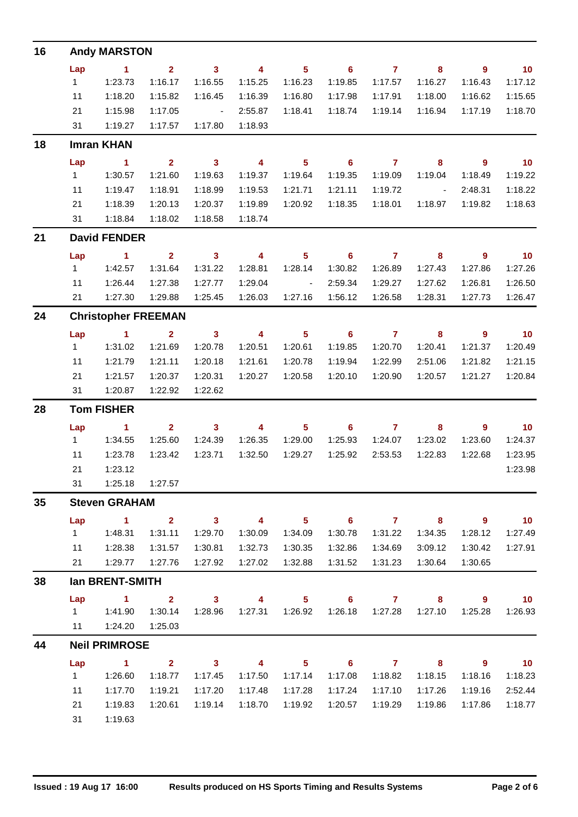| 16 |                            | <b>Andy MARSTON</b>    |                         |                         |                          |                            |                            |                |                            |                          |                             |  |  |  |
|----|----------------------------|------------------------|-------------------------|-------------------------|--------------------------|----------------------------|----------------------------|----------------|----------------------------|--------------------------|-----------------------------|--|--|--|
|    | Lap                        | $\blacksquare$ 1       | 2 <sup>1</sup>          | $\overline{\mathbf{3}}$ | $\overline{4}$           | $\overline{\phantom{0}}$ 5 | $\overline{\phantom{0}}$ 6 | $\overline{7}$ | 8                          | $\overline{\phantom{a}}$ | $\overline{10}$             |  |  |  |
|    | $1 -$                      | 1:23.73                | 1:16.17                 | 1:16.55                 | 1:15.25                  | 1:16.23                    | 1:19.85                    | 1:17.57        | 1:16.27                    | 1:16.43                  | 1:17.12                     |  |  |  |
|    | 11                         | 1:18.20                | 1:15.82                 | 1:16.45                 | 1:16.39                  | 1:16.80                    | 1:17.98                    | 1:17.91        | 1:18.00                    | 1:16.62                  | 1:15.65                     |  |  |  |
|    | 21                         | 1:15.98                | 1:17.05                 | <b>Contract Advised</b> | 2:55.87                  | 1:18.41                    | 1:18.74                    | 1:19.14        | 1:16.94                    | 1:17.19                  | 1:18.70                     |  |  |  |
|    | 31                         | 1:19.27                | 1:17.57                 | 1:17.80                 | 1:18.93                  |                            |                            |                |                            |                          |                             |  |  |  |
| 18 |                            | <b>Imran KHAN</b>      |                         |                         |                          |                            |                            |                |                            |                          |                             |  |  |  |
|    | Lap                        | $\sim$ 1               | $\overline{2}$          | $\overline{\mathbf{3}}$ | $\overline{\mathbf{4}}$  | $\overline{\phantom{1}}$ 5 | $\overline{\phantom{a}}$ 6 | $\overline{7}$ | $\overline{\mathbf{8}}$    | $\overline{\phantom{a}}$ | $\overline{\phantom{0}}$ 10 |  |  |  |
|    | $1 \quad$                  | 1:30.57                | 1:21.60                 | 1:19.63                 | 1:19.37                  | 1:19.64                    | 1:19.35                    | 1:19.09        | 1:19.04                    | 1:18.49                  | 1:19.22                     |  |  |  |
|    | 11                         | 1:19.47                | 1:18.91                 | 1:18.99                 | 1:19.53                  | 1:21.71                    | 1:21.11                    | 1:19.72        | <b>Contract Contract</b>   | 2:48.31                  | 1:18.22                     |  |  |  |
|    | 21                         | 1:18.39                | 1:20.13                 | 1:20.37                 | 1:19.89                  | 1:20.92                    | 1:18.35                    | 1:18.01        | 1:18.97                    | 1:19.82                  | 1:18.63                     |  |  |  |
|    | 31                         | 1:18.84                | 1:18.02                 | 1:18.58                 | 1:18.74                  |                            |                            |                |                            |                          |                             |  |  |  |
| 21 |                            | <b>David FENDER</b>    |                         |                         |                          |                            |                            |                |                            |                          |                             |  |  |  |
|    | Lap                        | $\sim$ 1               | $\overline{2}$          | $\overline{\mathbf{3}}$ | $\overline{\mathbf{4}}$  | $\overline{\phantom{0}}$ 5 | $\overline{\phantom{0}}$ 6 | $\overline{7}$ | $\overline{\mathbf{8}}$    | $\overline{\phantom{a}}$ | $\overline{\mathbf{10}}$    |  |  |  |
|    | $1 \quad$                  | 1:42.57                | 1:31.64                 | 1:31.22                 | 1:28.81                  | 1:28.14                    | 1:30.82                    | 1:26.89        | 1:27.43                    | 1:27.86                  | 1:27.26                     |  |  |  |
|    | 11                         | 1:26.44                | 1:27.38                 | 1:27.77                 | 1:29.04                  | $\sim 10^{11}$ m $^{-1}$   | 2:59.34                    | 1:29.27        | 1:27.62                    | 1:26.81                  | 1:26.50                     |  |  |  |
|    |                            | 21   1:27.30           | 1:29.88                 | 1:25.45                 | 1:26.03                  | 1:27.16                    | 1:56.12                    | 1:26.58        | 1:28.31                    | 1:27.73                  | 1:26.47                     |  |  |  |
| 24 | <b>Christopher FREEMAN</b> |                        |                         |                         |                          |                            |                            |                |                            |                          |                             |  |  |  |
|    | Lap                        | $\sim$ 1               | $\overline{\mathbf{2}}$ | $\overline{\mathbf{3}}$ | $\overline{4}$           | $\overline{\phantom{0}}$ 5 |                            | $6\qquad 7$    | $\overline{\phantom{a}}$ 8 | - 9                      | $\overline{10}$             |  |  |  |
|    | $1 \quad$                  | 1:31.02                | 1:21.69                 | 1:20.78                 | 1:20.51                  | 1:20.61                    | 1:19.85                    | 1:20.70        | 1:20.41                    | 1:21.37                  | 1:20.49                     |  |  |  |
|    | 11                         | 1:21.79                | 1:21.11                 | 1:20.18                 | 1:21.61                  | 1:20.78                    | 1:19.94                    | 1:22.99        | 2:51.06                    | 1:21.82                  | 1:21.15                     |  |  |  |
|    | 21                         | 1:21.57                | 1:20.37                 | 1:20.31                 | 1:20.27                  | 1:20.58                    | 1:20.10                    | 1:20.90        | 1:20.57                    | 1:21.27                  | 1:20.84                     |  |  |  |
|    | 31                         | 1:20.87                | 1:22.92                 | 1:22.62                 |                          |                            |                            |                |                            |                          |                             |  |  |  |
| 28 |                            | <b>Tom FISHER</b>      |                         |                         |                          |                            |                            |                |                            |                          |                             |  |  |  |
|    | Lap                        | $\sim$ 1               | $\mathbf{2}$            | $\overline{\mathbf{3}}$ | $\overline{\mathbf{4}}$  | $\overline{\phantom{0}}$ 5 | $\overline{\phantom{a}}$ 6 | $\overline{7}$ | 8                          | - 9                      | $\overline{10}$             |  |  |  |
|    | $1 \quad$                  | 1:34.55                | 1:25.60                 | 1:24.39                 | 1:26.35                  | 1:29.00                    | 1:25.93                    | 1:24.07        | 1:23.02                    | 1:23.60                  | 1:24.37                     |  |  |  |
|    | 11                         | 1:23.78                | 1:23.42                 | 1:23.71                 | 1:32.50                  | 1:29.27                    | 1:25.92                    | 2:53.53        | 1:22.83                    | 1:22.68                  | 1:23.95                     |  |  |  |
|    | 21                         | 1:23.12                |                         |                         |                          |                            |                            |                |                            |                          | 1:23.98                     |  |  |  |
|    | 31                         | 1:25.18                | 1:27.57                 |                         |                          |                            |                            |                |                            |                          |                             |  |  |  |
| 35 |                            | <b>Steven GRAHAM</b>   |                         |                         |                          |                            |                            |                |                            |                          |                             |  |  |  |
|    | Lap                        | $\blacktriangleleft$   | $\overline{2}$          | $\mathbf{3}$            | $\overline{\phantom{a}}$ | 5 <sup>5</sup>             | 6                          | $\overline{7}$ | $\overline{\mathbf{8}}$    | $9^{\circ}$              | 10                          |  |  |  |
|    | $\mathbf{1}$               | 1:48.31                | 1:31.11                 | 1:29.70                 | 1:30.09                  | 1:34.09                    | 1:30.78                    | 1:31.22        | 1:34.35                    | 1:28.12                  | 1:27.49                     |  |  |  |
|    | 11                         | 1:28.38                | 1:31.57                 | 1:30.81                 | 1:32.73                  | 1:30.35                    | 1:32.86                    | 1:34.69        | 3:09.12                    | 1:30.42                  | 1:27.91                     |  |  |  |
|    | 21                         | 1:29.77                | 1:27.76                 | 1:27.92                 | 1:27.02                  | 1:32.88                    | 1:31.52                    | 1:31.23        | 1:30.64                    | 1:30.65                  |                             |  |  |  |
| 38 |                            | <b>Ian BRENT-SMITH</b> |                         |                         |                          |                            |                            |                |                            |                          |                             |  |  |  |
|    | Lap                        | $\sim$ 1               | $\mathbf{2}$            | $\mathbf{3}$            | 4                        | 5 <sub>5</sub>             | $6\phantom{1}$             | $\overline{7}$ | 8                          | $\overline{9}$           | 10                          |  |  |  |
|    | $1 \quad$                  | 1:41.90                | 1:30.14                 | 1:28.96                 | 1:27.31                  | 1:26.92                    | 1:26.18                    | 1:27.28        | 1:27.10                    | 1:25.28                  | 1:26.93                     |  |  |  |
|    | 11                         | 1:24.20                | 1:25.03                 |                         |                          |                            |                            |                |                            |                          |                             |  |  |  |
| 44 |                            | <b>Neil PRIMROSE</b>   |                         |                         |                          |                            |                            |                |                            |                          |                             |  |  |  |
|    | Lap                        | $\blacktriangleleft$   | $\overline{2}$          | 3 <sup>1</sup>          | $\overline{\mathbf{4}}$  | 5 <sup>5</sup>             | $6\phantom{1}$             | $\mathbf{7}$   | 8                          | $\overline{9}$           | 10                          |  |  |  |
|    | 1                          | 1:26.60                | 1:18.77                 | 1:17.45                 | 1:17.50                  | 1:17.14                    | 1:17.08                    | 1:18.82        | 1:18.15                    | 1:18.16                  | 1:18.23                     |  |  |  |
|    | 11                         | 1:17.70                | 1:19.21                 | 1:17.20                 | 1:17.48                  | 1:17.28                    | 1:17.24                    | 1:17.10        | 1:17.26                    | 1:19.16                  | 2:52.44                     |  |  |  |
|    | 21                         | 1:19.83                | 1:20.61                 | 1:19.14                 | 1:18.70                  | 1:19.92                    | 1:20.57                    | 1:19.29        | 1:19.86                    | 1:17.86                  | 1:18.77                     |  |  |  |
|    | 31                         | 1:19.63                |                         |                         |                          |                            |                            |                |                            |                          |                             |  |  |  |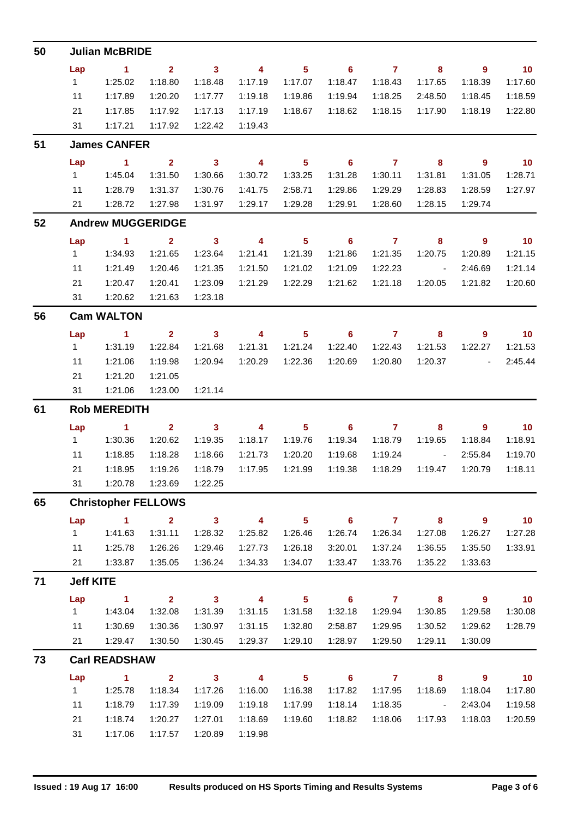| 50 |                     | <b>Julian McBRIDE</b>             |                         |                         |                          |                            |                            |                |                              |                            |                             |  |  |  |  |
|----|---------------------|-----------------------------------|-------------------------|-------------------------|--------------------------|----------------------------|----------------------------|----------------|------------------------------|----------------------------|-----------------------------|--|--|--|--|
|    | Lap                 | $\sim$ 1                          | $2^{\circ}$             | $\overline{\mathbf{3}}$ | $\overline{\mathbf{4}}$  | $\overline{\phantom{1}}$ 5 | $\overline{\phantom{0}}$ 6 | $\overline{7}$ | $\overline{\mathbf{8}}$      | $\overline{\phantom{a}}$   | $\overline{10}$             |  |  |  |  |
|    | 1                   | 1:25.02                           | 1:18.80                 | 1:18.48                 | 1:17.19                  | 1:17.07                    | 1:18.47                    | 1:18.43        | 1:17.65                      | 1:18.39                    | 1:17.60                     |  |  |  |  |
|    | 11                  | 1:17.89                           | 1:20.20                 | 1:17.77                 | 1:19.18                  | 1:19.86                    | 1:19.94                    | 1:18.25        | 2:48.50                      | 1:18.45                    | 1:18.59                     |  |  |  |  |
|    | 21                  | 1:17.85                           | 1:17.92                 | 1:17.13                 | 1:17.19                  | 1:18.67                    | 1:18.62                    | 1:18.15        | 1:17.90                      | 1:18.19                    | 1:22.80                     |  |  |  |  |
|    | 31                  | 1:17.21                           | 1:17.92                 | 1:22.42                 | 1:19.43                  |                            |                            |                |                              |                            |                             |  |  |  |  |
| 51 |                     | <b>James CANFER</b>               |                         |                         |                          |                            |                            |                |                              |                            |                             |  |  |  |  |
|    | Lap                 | $\sim$ 1                          | $\overline{\mathbf{2}}$ | $\overline{\mathbf{3}}$ | $\overline{4}$           | $\overline{\phantom{1}}$ 5 |                            | 6 7 8          |                              | $\overline{\phantom{a}}$ 9 | $\overline{\phantom{0}}$ 10 |  |  |  |  |
|    | 1                   | 1:45.04                           | 1:31.50                 | 1:30.66                 | 1:30.72                  | 1:33.25                    | 1:31.28                    | 1:30.11        | 1:31.81                      | 1:31.05                    | 1:28.71                     |  |  |  |  |
|    | 11                  | 1:28.79                           | 1:31.37                 | 1:30.76                 | 1:41.75                  | 2:58.71                    | 1:29.86                    | 1:29.29        | 1:28.83                      | 1:28.59                    | 1:27.97                     |  |  |  |  |
|    | 21                  | 1:28.72                           | 1:27.98                 | 1:31.97                 | 1:29.17                  | 1:29.28                    | 1:29.91                    | 1:28.60        | 1:28.15                      | 1:29.74                    |                             |  |  |  |  |
| 52 |                     | <b>Andrew MUGGERIDGE</b>          |                         |                         |                          |                            |                            |                |                              |                            |                             |  |  |  |  |
|    | Lap                 | $\sim$ 1                          | $\overline{\mathbf{2}}$ | $\overline{\mathbf{3}}$ | $\overline{4}$           | $\overline{\phantom{0}}$ 5 | $\overline{\phantom{0}}$ 6 | $\overline{7}$ | $\overline{\phantom{a}}$ 8   | $\overline{\phantom{a}}$ 9 | $\overline{10}$             |  |  |  |  |
|    | $1 \quad$           | 1:34.93                           | 1:21.65                 | 1:23.64                 | 1:21.41                  | 1:21.39                    | 1:21.86                    | 1:21.35        | 1:20.75                      | 1:20.89                    | 1:21.15                     |  |  |  |  |
|    | 11                  | 1:21.49                           | 1:20.46                 | 1:21.35                 | 1:21.50                  | 1:21.02                    | 1:21.09                    | 1:22.23        | $\sim 10^{11}$ km $^{-1}$    | 2:46.69                    | 1:21.14                     |  |  |  |  |
|    | 21                  | 1:20.47                           | 1:20.41                 | 1:23.09                 | 1:21.29                  | 1:22.29                    | 1:21.62                    | 1:21.18        | 1:20.05                      | 1:21.82                    | 1:20.60                     |  |  |  |  |
|    | 31                  | 1:20.62                           | 1:21.63                 | 1:23.18                 |                          |                            |                            |                |                              |                            |                             |  |  |  |  |
| 56 |                     | <b>Cam WALTON</b>                 |                         |                         |                          |                            |                            |                |                              |                            |                             |  |  |  |  |
|    | Lap                 | $\sim$ $\sim$ 1                   | $\overline{\mathbf{2}}$ | $\overline{\mathbf{3}}$ | $\overline{\mathbf{4}}$  | $\overline{\phantom{1}}$ 5 |                            | $6\qquad 7$    | $\overline{\mathbf{8}}$      | 9                          | $\overline{10}$             |  |  |  |  |
|    | $1 \quad$           | 1:31.19                           | 1:22.84                 | 1:21.68                 | 1:21.31                  | 1:21.24                    | 1:22.40                    | 1:22.43        | 1:21.53                      | 1:22.27                    | 1:21.53                     |  |  |  |  |
|    | 11                  | 1:21.06                           | 1:19.98                 | 1:20.94                 | 1:20.29                  | 1:22.36                    | 1:20.69                    | 1:20.80        | 1:20.37                      | <b>Contract Contract</b>   | 2:45.44                     |  |  |  |  |
|    | 21                  | 1:21.20                           | 1:21.05                 |                         |                          |                            |                            |                |                              |                            |                             |  |  |  |  |
|    | 31                  | 1:21.06                           | 1:23.00                 | 1:21.14                 |                          |                            |                            |                |                              |                            |                             |  |  |  |  |
| 61 | <b>Rob MEREDITH</b> |                                   |                         |                         |                          |                            |                            |                |                              |                            |                             |  |  |  |  |
|    | Lap                 | $\sim$ $\sim$ $\sim$ 1.400 $\sim$ | $\overline{\mathbf{2}}$ | $\overline{\mathbf{3}}$ | $\overline{4}$           | $\overline{\phantom{1}}$ 5 |                            | $6$ $7$ $8$    |                              | $\overline{\phantom{a}}$ 9 | $\overline{10}$             |  |  |  |  |
|    | $1 \quad$           | 1:30.36                           | 1:20.62                 | 1:19.35                 | 1:18.17                  | 1:19.76                    | 1:19.34                    | 1:18.79        | 1:19.65                      | 1:18.84                    | 1:18.91                     |  |  |  |  |
|    | 11                  | 1:18.85                           | 1:18.28                 | 1:18.66                 | 1:21.73                  | 1:20.20                    | 1:19.68                    | 1:19.24        | $\sim 10^{-10}$ km s $^{-1}$ | 2:55.84                    | 1:19.70                     |  |  |  |  |
|    | 21                  | 1:18.95                           | 1:19.26                 | 1:18.79                 | 1:17.95                  | 1:21.99                    | 1:19.38                    | 1:18.29        | 1:19.47                      | 1:20.79                    | 1:18.11                     |  |  |  |  |
|    | 31                  | 1:20.78                           | 1:23.69                 | 1:22.25                 |                          |                            |                            |                |                              |                            |                             |  |  |  |  |
| 65 |                     | <b>Christopher FELLOWS</b>        |                         |                         |                          |                            |                            |                |                              |                            |                             |  |  |  |  |
|    | Lap                 | $\sim$ 1                          | $\mathbf{2}$            | $\overline{\mathbf{3}}$ | $\overline{4}$           | 5 <sub>5</sub>             | $\overline{\phantom{0}}$ 6 | $\overline{7}$ | $\overline{\mathbf{8}}$      | $\overline{\phantom{a}}$ 9 | 10                          |  |  |  |  |
|    | $\mathbf{1}$        | 1:41.63                           | 1:31.11                 | 1:28.32                 | 1:25.82                  | 1:26.46                    | 1:26.74                    | 1:26.34        | 1:27.08                      | 1:26.27                    | 1:27.28                     |  |  |  |  |
|    | 11                  | 1:25.78                           | 1:26.26                 | 1:29.46                 | 1:27.73                  | 1:26.18                    | 3:20.01                    | 1:37.24        | 1:36.55                      | 1:35.50                    | 1:33.91                     |  |  |  |  |
|    | 21                  | 1:33.87                           | 1:35.05                 | 1:36.24                 | 1:34.33                  | 1:34.07                    | 1:33.47                    | 1:33.76        | 1:35.22                      | 1:33.63                    |                             |  |  |  |  |
| 71 | <b>Jeff KITE</b>    |                                   |                         |                         |                          |                            |                            |                |                              |                            |                             |  |  |  |  |
|    | Lap                 | $\sim$ 1                          | $\overline{\mathbf{2}}$ | $\overline{\mathbf{3}}$ | $\overline{4}$           | $\overline{\phantom{0}}$ 5 | $\overline{\phantom{0}}$ 6 | $\overline{7}$ | $\overline{\mathbf{8}}$      | $\overline{\phantom{a}}$ 9 | $\blacksquare$ 10           |  |  |  |  |
|    | 1                   | 1:43.04                           | 1:32.08                 | 1:31.39                 | 1:31.15                  | 1:31.58                    | 1:32.18                    | 1:29.94        | 1:30.85                      | 1:29.58                    | 1:30.08                     |  |  |  |  |
|    | 11                  | 1:30.69                           | 1:30.36                 | 1:30.97                 | 1:31.15                  | 1:32.80                    | 2:58.87                    | 1:29.95        | 1:30.52                      | 1:29.62                    | 1:28.79                     |  |  |  |  |
|    | 21                  | 1:29.47                           | 1:30.50                 | 1:30.45                 | 1:29.37                  | 1:29.10                    | 1:28.97                    | 1:29.50        | 1:29.11                      | 1:30.09                    |                             |  |  |  |  |
| 73 |                     | <b>Carl READSHAW</b>              |                         |                         |                          |                            |                            |                |                              |                            |                             |  |  |  |  |
|    | Lap                 | $\sim$ 1                          | $\overline{2}$          | $\overline{\mathbf{3}}$ | $\overline{\phantom{a}}$ | 5 <sup>5</sup>             | $\overline{\phantom{0}}$ 6 | $\overline{7}$ | 8                            | 9                          | 10                          |  |  |  |  |
|    | 1                   | 1:25.78                           | 1:18.34                 | 1:17.26                 | 1:16.00                  | 1:16.38                    | 1:17.82                    | 1:17.95        | 1:18.69                      | 1:18.04                    | 1:17.80                     |  |  |  |  |
|    | 11                  | 1:18.79                           | 1:17.39                 | 1:19.09                 | 1:19.18                  | 1:17.99                    | 1:18.14                    | 1:18.35        | $\sim 10^{11}$ km s $^{-1}$  | 2:43.04                    | 1:19.58                     |  |  |  |  |
|    | 21                  | 1:18.74                           | 1:20.27                 | 1:27.01                 | 1:18.69                  | 1:19.60                    | 1:18.82                    | 1:18.06        | 1:17.93                      | 1:18.03                    | 1:20.59                     |  |  |  |  |
|    | 31                  | 1:17.06                           | 1:17.57                 | 1:20.89                 | 1:19.98                  |                            |                            |                |                              |                            |                             |  |  |  |  |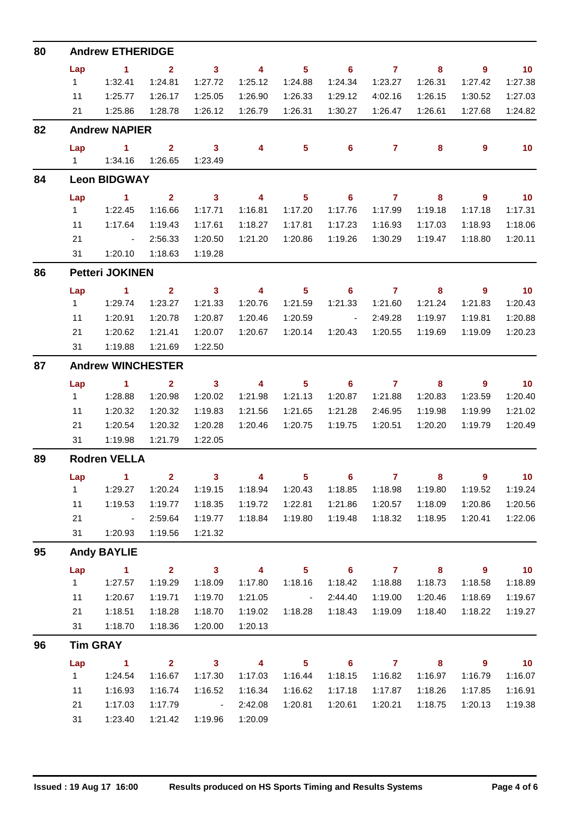| 80 |                          | <b>Andrew ETHERIDGE</b>           |                                    |                                                           |                                    |                             |                                       |                           |              |                            |                   |  |  |  |
|----|--------------------------|-----------------------------------|------------------------------------|-----------------------------------------------------------|------------------------------------|-----------------------------|---------------------------------------|---------------------------|--------------|----------------------------|-------------------|--|--|--|
|    | Lap                      | $\sim$ 1                          | $\mathbf{2}$                       | $\mathbf{3}$                                              | $\overline{\mathbf{4}}$            | 5 <sub>1</sub>              | $\overline{\phantom{0}}$ 6            | $\overline{7}$            | 8            | $\overline{\phantom{a}}$   | $\overline{10}$   |  |  |  |
|    | 1                        | 1:32.41                           | 1:24.81                            | 1:27.72                                                   | 1:25.12                            | 1:24.88                     | 1:24.34                               | 1:23.27                   | 1:26.31      | 1:27.42                    | 1:27.38           |  |  |  |
|    | 11                       | 1:25.77                           | 1:26.17                            | 1:25.05                                                   | 1:26.90                            | 1:26.33                     | 1:29.12                               | 4:02.16                   | 1:26.15      | 1:30.52                    | 1:27.03           |  |  |  |
|    | 21                       | 1:25.86                           | 1:28.78                            | 1:26.12                                                   | 1:26.79                            | 1:26.31                     | 1:30.27                               | 1:26.47                   | 1:26.61      | 1:27.68                    | 1:24.82           |  |  |  |
| 82 |                          | <b>Andrew NAPIER</b>              |                                    |                                                           |                                    |                             |                                       |                           |              |                            |                   |  |  |  |
|    | Lap                      | $\sim$ 1<br>1.34.16               | $\overline{\mathbf{2}}$<br>1:26.65 | $\sim$ 3<br>1:23.49                                       | $\overline{4}$                     | 5 <sub>5</sub>              | $6^{\circ}$                           | $\overline{7}$            | 8            | $\overline{9}$             | 10                |  |  |  |
| 84 |                          | <b>Leon BIDGWAY</b>               |                                    |                                                           |                                    |                             |                                       |                           |              |                            |                   |  |  |  |
|    | Lap                      | $\sim$ 1                          | $\mathbf{2}$                       | $\overline{\mathbf{3}}$                                   | $\overline{4}$                     | $5^{\circ}$                 | $\overline{\phantom{0}}$ 6            | $\overline{7}$            | 8            | - 9                        | $\overline{10}$   |  |  |  |
|    | $1 \quad$                | 1:22.45                           | 1:16.66                            | 1:17.71                                                   | 1:16.81                            | 1:17.20                     | 1:17.76                               | 1:17.99                   | 1:19.18      | 1:17.18                    | 1:17.31           |  |  |  |
|    | 11                       | 1:17.64                           | 1:19.43                            | 1:17.61                                                   | 1:18.27                            | 1:17.81                     | 1:17.23                               | 1:16.93                   | 1:17.03      | 1:18.93                    | 1:18.06           |  |  |  |
|    | 21                       | $\sim 10^{11}$ and $\sim 10^{11}$ | 2:56.33                            | 1:20.50                                                   | 1:21.20                            | 1:20.86                     | 1:19.26                               | 1:30.29                   | 1:19.47      | 1:18.80                    | 1:20.11           |  |  |  |
|    | 31                       | 1:20.10                           | 1:18.63                            | 1:19.28                                                   |                                    |                             |                                       |                           |              |                            |                   |  |  |  |
| 86 |                          | <b>Petteri JOKINEN</b>            |                                    |                                                           |                                    |                             |                                       |                           |              |                            |                   |  |  |  |
|    | Lap                      | $\sim$ 1                          | $\overline{2}$                     | $\overline{\mathbf{3}}$                                   | $\overline{\mathbf{4}}$            | 5 <sub>5</sub>              | $\overline{\phantom{0}}$ 6            | $\overline{7}$            | 8            | - 9                        | $\blacksquare$ 10 |  |  |  |
|    | 1                        | 1:29.74                           | 1:23.27                            | 1:21.33                                                   | 1:20.76                            | 1:21.59                     | 1:21.33                               | 1:21.60                   | 1:21.24      | 1:21.83                    | 1:20.43           |  |  |  |
|    | 11                       | 1:20.91                           | 1:20.78                            | 1:20.87                                                   | 1:20.46                            | 1:20.59                     | <b>Contract State</b>                 | 2:49.28                   | 1:19.97      | 1:19.81                    | 1:20.88           |  |  |  |
|    | 21                       | 1:20.62                           | 1:21.41                            | 1:20.07                                                   | 1:20.67                            | 1:20.14                     | 1:20.43                               | 1:20.55                   | 1:19.69      | 1:19.09                    | 1:20.23           |  |  |  |
|    | 31                       | 1:19.88                           | 1:21.69                            | 1:22.50                                                   |                                    |                             |                                       |                           |              |                            |                   |  |  |  |
| 87 | <b>Andrew WINCHESTER</b> |                                   |                                    |                                                           |                                    |                             |                                       |                           |              |                            |                   |  |  |  |
|    | Lap                      | $\sim$ 1                          | $\mathbf{2}$                       | $\overline{\mathbf{3}}$                                   | $\overline{4}$                     | $5^{\circ}$                 | $\overline{\phantom{0}}$ 6            | $\overline{7}$            | 8            | - 9                        | $\overline{10}$   |  |  |  |
|    | 1                        | 1:28.88                           | 1:20.98                            | 1:20.02                                                   | 1:21.98                            | 1:21.13                     | 1:20.87                               | 1:21.88                   | 1:20.83      | 1:23.59                    | 1:20.40           |  |  |  |
|    | 11                       | 1:20.32                           | 1:20.32                            | 1:19.83                                                   | 1:21.56                            | 1:21.65                     | 1:21.28                               | 2:46.95                   | 1:19.98      | 1:19.99                    | 1:21.02           |  |  |  |
|    | 21                       | 1:20.54                           | 1:20.32                            | 1:20.28                                                   | 1:20.46                            | 1:20.75                     | 1:19.75                               | 1:20.51                   | 1:20.20      | 1:19.79                    | 1:20.49           |  |  |  |
|    | 31                       | 1:19.98                           | 1:21.79                            | 1:22.05                                                   |                                    |                             |                                       |                           |              |                            |                   |  |  |  |
| 89 | <b>Rodren VELLA</b>      |                                   |                                    |                                                           |                                    |                             |                                       |                           |              |                            |                   |  |  |  |
|    |                          | Lap 1                             | -2                                 | 3                                                         | 4                                  | 5.                          | 6.                                    | $7^{\circ}$               | 8.           | 9.                         | 10                |  |  |  |
|    | 1                        | 1:29.27                           | 1:20.24                            | 1:19.15                                                   | 1:18.94                            | 1:20.43                     | 1:18.85                               | 1:18.98                   | 1:19.80      | 1:19.52                    | 1:19.24           |  |  |  |
|    | 11                       | 1:19.53                           | 1:19.77                            | 1:18.35                                                   | 1:19.72                            | 1:22.81                     | 1:21.86                               | 1:20.57                   | 1:18.09      | 1:20.86                    | 1:20.56           |  |  |  |
|    | 21                       | $\sim 10^{11}$ and $\sim 10^{11}$ | 2:59.64                            | 1:19.77                                                   | 1:18.84                            | 1:19.80                     | 1:19.48                               | 1:18.32                   | 1:18.95      | 1:20.41                    | 1:22.06           |  |  |  |
|    | 31                       | 1:20.93                           | 1:19.56                            | 1:21.32                                                   |                                    |                             |                                       |                           |              |                            |                   |  |  |  |
| 95 |                          | <b>Andy BAYLIE</b>                |                                    |                                                           |                                    |                             |                                       |                           |              |                            |                   |  |  |  |
|    | Lap                      | $\sim$ 1                          | $\overline{\mathbf{2}}$            | $\overline{\mathbf{3}}$                                   | $\overline{4}$                     | $5 -$                       | $\overline{\phantom{a}}$ 6            | $\overline{7}$            | 8            | $\overline{\phantom{a}}$ 9 | 10                |  |  |  |
|    | 1                        | 1:27.57                           | 1:19.29                            | 1:18.09                                                   | 1:17.80                            | 1:18.16                     | 1:18.42                               | 1:18.88                   | 1:18.73      | 1:18.58                    | 1:18.89           |  |  |  |
|    | 11                       | 1:20.67                           | 1:19.71                            | 1:19.70                                                   | 1:21.05                            | $\sim 10^{11}$ km s $^{-1}$ | 2:44.40                               | 1:19.00                   | 1:20.46      | 1:18.69                    | 1:19.67           |  |  |  |
|    | 21                       | 1:18.51                           | 1:18.28                            | 1:18.70                                                   | 1:19.02                            | 1:18.28                     | 1:18.43                               | 1:19.09                   | 1:18.40      | 1:18.22                    | 1:19.27           |  |  |  |
|    | 31                       | 1:18.70                           | 1:18.36                            | 1:20.00                                                   | 1:20.13                            |                             |                                       |                           |              |                            |                   |  |  |  |
| 96 |                          | <b>Tim GRAY</b>                   |                                    |                                                           |                                    |                             |                                       |                           |              |                            |                   |  |  |  |
|    | Lap<br>1                 | $\sim$ 1<br>1:24.54               | $2^{\circ}$<br>1:16.67             | $\overline{\phantom{a}}$ 3<br>1:17.30                     | $\overline{\mathbf{4}}$<br>1:17.03 | 5 <sub>1</sub><br>1:16.44   | $\overline{\phantom{0}}$ 6<br>1:18.15 | 7 <sup>7</sup><br>1:16.82 | 8<br>1:16.97 | $\overline{9}$<br>1:16.79  | 10<br>1:16.07     |  |  |  |
|    | 11                       | 1:16.93                           | 1:16.74                            | 1:16.52                                                   | 1:16.34                            | 1:16.62                     | 1:17.18                               | 1:17.87                   | 1:18.26      | 1:17.85                    | 1:16.91           |  |  |  |
|    | 21                       | 1:17.03                           | 1:17.79                            | $\mathcal{L}(\mathcal{L})$ and $\mathcal{L}(\mathcal{L})$ | 2:42.08                            | 1:20.81                     | 1:20.61                               | 1:20.21                   | 1:18.75      | 1:20.13                    | 1:19.38           |  |  |  |
|    | 31                       | 1:23.40                           | 1:21.42                            | 1:19.96                                                   | 1:20.09                            |                             |                                       |                           |              |                            |                   |  |  |  |
|    |                          |                                   |                                    |                                                           |                                    |                             |                                       |                           |              |                            |                   |  |  |  |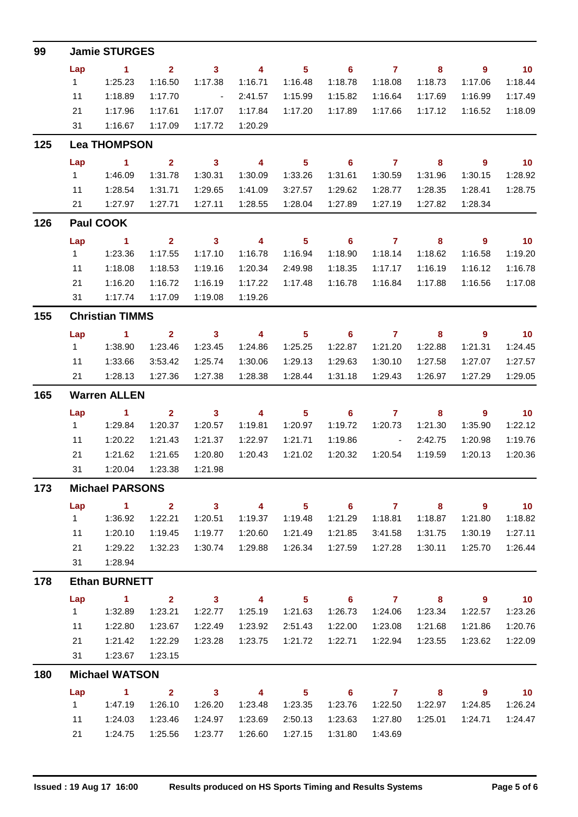| 99  |                        | <b>Jamie STURGES</b>   |                                    |                                    |                                    |                                       |                              |                              |                         |                                       |                             |  |  |  |
|-----|------------------------|------------------------|------------------------------------|------------------------------------|------------------------------------|---------------------------------------|------------------------------|------------------------------|-------------------------|---------------------------------------|-----------------------------|--|--|--|
|     | Lap                    | $\sim$ 1               | $\overline{2}$                     | $\overline{\mathbf{3}}$            | $\overline{4}$                     | $\overline{\phantom{0}}$ 5            | $\overline{\phantom{a}}$ 6   | $7 \t 8$                     |                         | $\overline{\phantom{a}}$ 9            | $\overline{10}$             |  |  |  |
|     | $1 -$                  | 1:25.23                | 1:16.50                            | 1:17.38                            | 1:16.71                            | 1:16.48                               | 1:18.78                      | 1:18.08                      | 1:18.73                 | 1:17.06                               | 1:18.44                     |  |  |  |
|     | 11                     | 1:18.89                | 1:17.70                            | $\sim 10^{11}$ and $\sim 10^{11}$  | 2:41.57                            | 1:15.99                               | 1:15.82                      | 1:16.64                      | 1:17.69                 | 1:16.99                               | 1:17.49                     |  |  |  |
|     | 21                     | 1:17.96                | 1:17.61                            | 1:17.07                            | 1:17.84                            | 1:17.20                               | 1:17.89                      | 1:17.66                      | 1:17.12                 | 1:16.52                               | 1:18.09                     |  |  |  |
|     | 31                     | 1:16.67                | 1:17.09                            | 1:17.72                            | 1:20.29                            |                                       |                              |                              |                         |                                       |                             |  |  |  |
| 125 |                        | <b>Lea THOMPSON</b>    |                                    |                                    |                                    |                                       |                              |                              |                         |                                       |                             |  |  |  |
|     | Lap                    | $\sim$ 1               | $\overline{\mathbf{2}}$            | $\overline{\mathbf{3}}$            | $\overline{4}$                     | $\overline{\phantom{0}}$ 5            | $\overline{\phantom{0}}$ 6   | $\overline{7}$               | $\overline{\mathbf{8}}$ | $\overline{\phantom{a}}$ 9            | $\blacksquare$ 10           |  |  |  |
|     | $1 \quad$              | 1:46.09                | 1:31.78                            | 1:30.31                            | 1:30.09                            | 1:33.26                               | 1:31.61                      | 1:30.59                      | 1:31.96                 | 1:30.15                               | 1:28.92                     |  |  |  |
|     | 11                     | 1:28.54                | 1:31.71                            | 1:29.65                            | 1:41.09                            | 3:27.57                               | 1:29.62                      | 1:28.77                      | 1:28.35                 | 1:28.41                               | 1:28.75                     |  |  |  |
|     | 21                     | 1:27.97                | 1:27.71                            | 1:27.11                            | 1:28.55                            | 1:28.04                               | 1:27.89                      | 1:27.19                      | 1:27.82                 | 1:28.34                               |                             |  |  |  |
| 126 | Paul COOK              |                        |                                    |                                    |                                    |                                       |                              |                              |                         |                                       |                             |  |  |  |
|     | Lap                    | $\sim$ 1               | $\overline{\mathbf{2}}$            | $\overline{\mathbf{3}}$            | $\overline{4}$                     | $\overline{\phantom{0}}$ 5            | $\overline{\phantom{0}}$ 6   | $\overline{7}$               | $\overline{\mathbf{8}}$ | $\overline{\phantom{a}}$              | $\overline{10}$             |  |  |  |
|     | $1 \quad$              | 1:23.36                | 1:17.55                            | 1:17.10                            | 1:16.78                            | 1:16.94                               | 1:18.90                      | 1:18.14                      | 1:18.62                 | 1:16.58                               | 1:19.20                     |  |  |  |
|     | 11                     | 1:18.08                | 1:18.53                            | 1:19.16                            | 1:20.34                            | 2:49.98                               | 1:18.35                      | 1:17.17                      | 1:16.19                 | 1:16.12                               | 1:16.78                     |  |  |  |
|     | 21                     | 1:16.20                | 1:16.72                            | 1:16.19                            | 1:17.22                            | 1:17.48                               | 1:16.78                      | 1:16.84                      | 1:17.88                 | 1:16.56                               | 1:17.08                     |  |  |  |
|     | 31                     | 1:17.74                | 1:17.09                            | 1:19.08                            | 1:19.26                            |                                       |                              |                              |                         |                                       |                             |  |  |  |
| 155 | <b>Christian TIMMS</b> |                        |                                    |                                    |                                    |                                       |                              |                              |                         |                                       |                             |  |  |  |
|     | Lap                    | $\sim$ 1.              | $\overline{\mathbf{2}}$            | $\overline{\mathbf{3}}$            | $\overline{\mathbf{4}}$            | $\overline{\phantom{0}}$ 5            | $\overline{\phantom{a}}$ 6   | $\overline{7}$               | $\overline{\mathbf{8}}$ | $\overline{\phantom{a}}$              | $\overline{10}$             |  |  |  |
|     | $1 \quad$              | 1:38.90                | 1:23.46                            | 1:23.45                            | 1:24.86                            | 1:25.25                               | 1:22.87                      | 1:21.20                      | 1:22.88                 | 1:21.31                               | 1:24.45                     |  |  |  |
|     | 11                     | 1:33.66                | 3:53.42                            | 1:25.74                            | 1:30.06                            | 1:29.13                               | 1:29.63                      | 1:30.10                      | 1:27.58                 | 1:27.07                               | 1:27.57                     |  |  |  |
|     | 21                     | 1:28.13                | 1:27.36                            | 1:27.38                            | 1:28.38                            | 1:28.44                               | 1:31.18                      | 1:29.43                      | 1:26.97                 | 1:27.29                               | 1:29.05                     |  |  |  |
| 165 | <b>Warren ALLEN</b>    |                        |                                    |                                    |                                    |                                       |                              |                              |                         |                                       |                             |  |  |  |
|     | Lap                    | $\sim$ 1               | $\overline{2}$                     | $\overline{\mathbf{3}}$            | $\overline{\phantom{a}}$           | $\overline{\phantom{0}}$ 5            | $\overline{\phantom{0}}$ 6   | $\overline{7}$               | 8                       | $\overline{\phantom{a}}$ 9            | $\overline{\phantom{0}}$ 10 |  |  |  |
|     | 1                      | 1:29.84                | 1:20.37                            | 1:20.57                            | 1:19.81                            | 1:20.97                               | 1:19.72                      | 1:20.73                      | 1:21.30                 | 1:35.90                               | 1:22.12                     |  |  |  |
|     | 11                     | 1:20.22                | 1:21.43                            | 1:21.37                            | 1:22.97                            | 1:21.71                               | 1:19.86                      | $\sim 10^{-10}$ km s $^{-1}$ | 2:42.75                 | 1:20.98                               | 1:19.76                     |  |  |  |
|     | 21                     | 1:21.62                | 1:21.65                            | 1:20.80                            | 1:20.43                            | 1:21.02                               | 1:20.32                      | 1:20.54                      | 1:19.59                 | 1:20.13                               | 1:20.36                     |  |  |  |
|     | 31                     | 1:20.04                | 1:23.38                            | 1:21.98                            |                                    |                                       |                              |                              |                         |                                       |                             |  |  |  |
| 173 |                        | <b>Michael PARSONS</b> |                                    |                                    |                                    |                                       |                              |                              |                         |                                       |                             |  |  |  |
|     | Lap                    | $\sim$ 1               | $\overline{\mathbf{2}}$            |                                    | $3 \t 4$                           |                                       | $5 \t 6 \t 7$                |                              | $8^{\circ}$             | $\overline{\phantom{a}}$ 9            | $\overline{10}$             |  |  |  |
|     | $1 \quad$              | 1:36.92                | 1:22.21                            | 1:20.51                            | 1:19.37                            | 1:19.48                               | 1:21.29                      | 1:18.81                      | 1:18.87                 | 1:21.80                               | 1:18.82                     |  |  |  |
|     | 11                     | 1:20.10                | 1:19.45                            | 1:19.77                            | 1:20.60                            | 1:21.49                               | 1:21.85                      | 3:41.58                      | 1:31.75                 | 1:30.19                               | 1:27.11                     |  |  |  |
|     | 21                     | 1:29.22                | 1:32.23                            | 1:30.74                            | 1:29.88                            | 1:26.34                               | 1:27.59                      | 1:27.28                      | 1:30.11                 | 1:25.70                               | 1:26.44                     |  |  |  |
|     | 31                     | 1:28.94                |                                    |                                    |                                    |                                       |                              |                              |                         |                                       |                             |  |  |  |
| 178 |                        | <b>Ethan BURNETT</b>   |                                    |                                    |                                    |                                       |                              |                              |                         |                                       |                             |  |  |  |
|     | Lap<br>$1 \quad$       | $\sim$ 1<br>1:32.89    | $\overline{\mathbf{2}}$<br>1:23.21 | $\overline{\mathbf{3}}$<br>1:22.77 | $\overline{\mathbf{4}}$<br>1:25.19 | $\overline{\phantom{1}}$ 5<br>1:21.63 | 1:26.73                      | $6$ $7$ $8$<br>1:24.06       | 1:23.34                 | - 9<br>1:22.57                        | $\overline{10}$<br>1:23.26  |  |  |  |
|     | 11                     |                        |                                    |                                    |                                    |                                       |                              |                              |                         |                                       |                             |  |  |  |
|     | 21                     | 1:22.80                | 1:23.67                            | 1:22.49                            | 1:23.92                            | 2:51.43                               | 1:22.00                      | 1:23.08                      | 1:21.68                 | 1:21.86                               | 1:20.76                     |  |  |  |
|     | 31                     | 1:21.42<br>1:23.67     | 1:22.29<br>1:23.15                 | 1:23.28                            | 1:23.75                            | 1:21.72                               | 1:22.71                      | 1:22.94                      | 1:23.55                 | 1:23.62                               | 1:22.09                     |  |  |  |
|     |                        |                        |                                    |                                    |                                    |                                       |                              |                              |                         |                                       |                             |  |  |  |
| 180 |                        | <b>Michael WATSON</b>  |                                    |                                    |                                    |                                       |                              |                              |                         |                                       |                             |  |  |  |
|     | Lap<br>$1 \quad$       | $\sim$ 1<br>1:47.19    | $\overline{\mathbf{2}}$<br>1:26.10 | 1:26.20                            | $3 \t 4$<br>1:23.48                | 1:23.35                               | $5 \t\t 6 \t\t 7$<br>1:23.76 | 1:22.50                      | 8<br>1:22.97            | $\overline{\phantom{a}}$ 9<br>1:24.85 | $\overline{10}$<br>1:26.24  |  |  |  |
|     |                        |                        |                                    |                                    |                                    |                                       |                              |                              |                         |                                       |                             |  |  |  |
|     | 11                     | 1:24.03                | 1:23.46                            | 1:24.97                            | 1:23.69                            | 2:50.13                               | 1:23.63                      | 1:27.80                      | 1:25.01                 | 1:24.71                               | 1:24.47                     |  |  |  |
|     | 21                     | 1:24.75                | 1:25.56                            | 1:23.77                            | 1:26.60                            | 1:27.15                               | 1:31.80                      | 1:43.69                      |                         |                                       |                             |  |  |  |